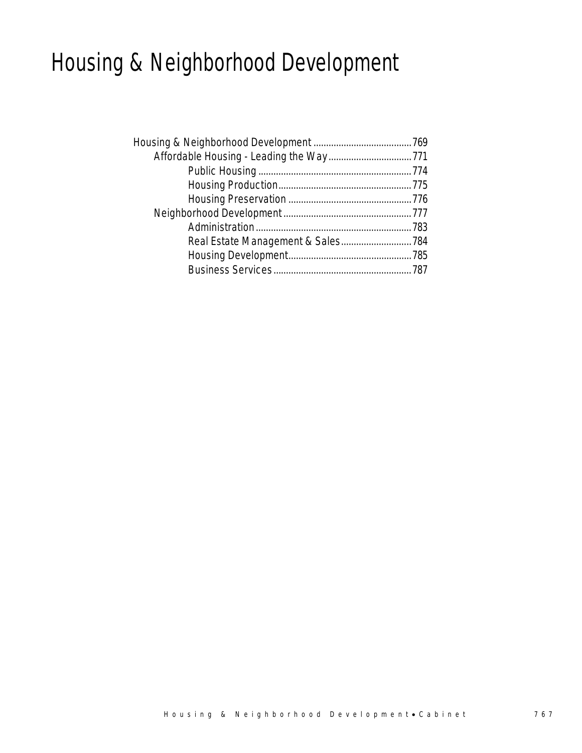## Housing & Neighborhood Development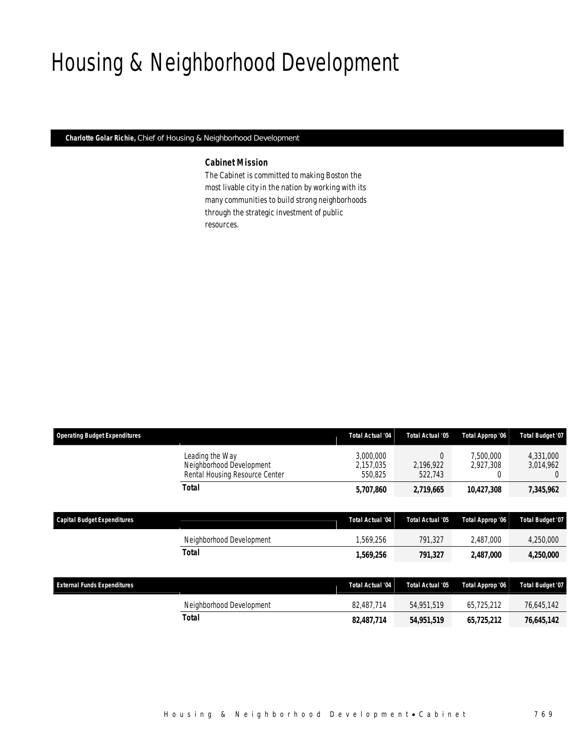# Housing & Neighborhood Development

*Charlotte Golar Richie, Chief of Housing & Neighborhood Development* 

## *Cabinet Mission*

The Cabinet is committed to making Boston the most livable city in the nation by working with its many communities to build strong neighborhoods through the strategic investment of public resources.

| <b>Operating Budget Expenditures</b> |                                                                               | <b>Total Actual '04</b>           | Total Actual '05                 | Total Approp '06            | Total Budget '07                           |
|--------------------------------------|-------------------------------------------------------------------------------|-----------------------------------|----------------------------------|-----------------------------|--------------------------------------------|
|                                      | Leading the Way<br>Neighborhood Development<br>Rental Housing Resource Center | 3,000,000<br>2,157,035<br>550,825 | $\theta$<br>2,196,922<br>522,743 | 7.500.000<br>2,927,308<br>0 | 4,331,000<br>3,014,962<br>$\left( \right)$ |
|                                      | <b>Total</b>                                                                  | 5,707,860                         | 2,719,665                        | 10,427,308                  | 7,345,962                                  |
|                                      |                                                                               |                                   |                                  |                             |                                            |
| <b>Capital Budget Expenditures</b>   |                                                                               | <b>Total Actual '04</b>           | Total Actual '05                 | Total Approp '06            | Total Budget '07                           |
|                                      | Neighborhood Development                                                      | 1,569,256                         | 791,327                          | 2,487,000                   | 4,250,000                                  |
|                                      | <b>Total</b>                                                                  | 1,569,256                         | 791,327                          | 2,487,000                   | 4,250,000                                  |
|                                      |                                                                               |                                   |                                  |                             |                                            |
| <b>External Funds Expenditures</b>   |                                                                               | <b>Total Actual '04</b>           | Total Actual '05                 | Total Approp '06            | Total Budget '07                           |
|                                      | Neighborhood Development                                                      | 82,487,714                        | 54,951,519                       | 65,725,212                  | 76,645,142                                 |
|                                      | <b>Total</b>                                                                  | 82,487,714                        | 54,951,519                       | 65,725,212                  | 76,645,142                                 |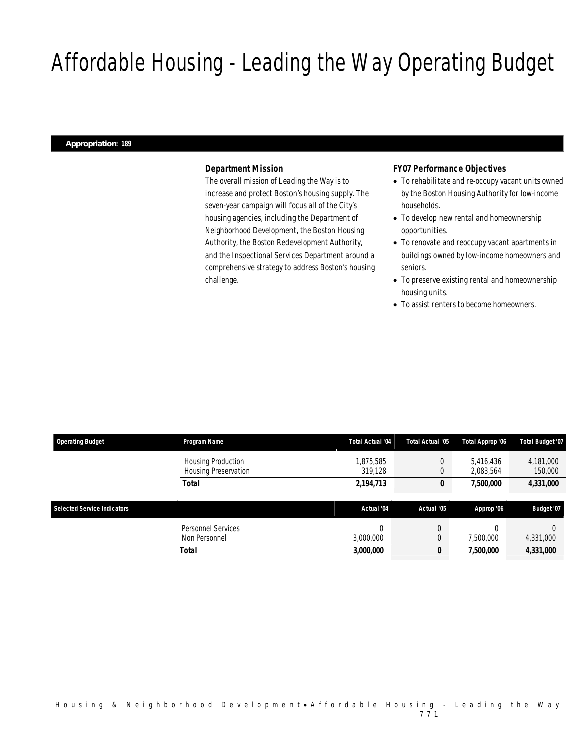# Affordable Housing - Leading the Way Operating Budget

#### *Appropriation: 189*

#### *Department Mission*

The overall mission of Leading the Way is to increase and protect Boston's housing supply. The seven-year campaign will focus all of the City's housing agencies, including the Department of Neighborhood Development, the Boston Housing Authority, the Boston Redevelopment Authority, and the Inspectional Services Department around a comprehensive strategy to address Boston's housing challenge.

## *FY07 Performance Objectives*

- To rehabilitate and re-occupy vacant units owned by the Boston Housing Authority for low-income households.
- To develop new rental and homeownership opportunities.
- To renovate and reoccupy vacant apartments in buildings owned by low-income homeowners and seniors.
- To preserve existing rental and homeownership housing units.
- To assist renters to become homeowners.

| <b>Operating Budget</b>            | Program Name                | <b>Total Actual '04</b> | Total Actual '05 | Total Approp '06 | <b>Total Budget '07</b> |
|------------------------------------|-----------------------------|-------------------------|------------------|------------------|-------------------------|
|                                    | Housing Production          | ,875,585                | 0                | 5.416.436        | 4,181,000               |
|                                    | <b>Housing Preservation</b> | 319.128                 |                  | 2,083,564        | 150,000                 |
|                                    | <b>Total</b>                | 2,194,713               | U                | 7,500,000        | 4,331,000               |
|                                    |                             |                         |                  |                  |                         |
| <b>Selected Service Indicators</b> |                             | Actual '04              | Actual '05       | Approp '06       | <b>Budget '07</b>       |
|                                    | Personnel Services          |                         | C                |                  |                         |
|                                    | Non Personnel               | 3,000,000               | 0                | 7.500.000        | 4,331,000               |
|                                    | Total                       | 3,000,000               | 0                | 7,500,000        | 4,331,000               |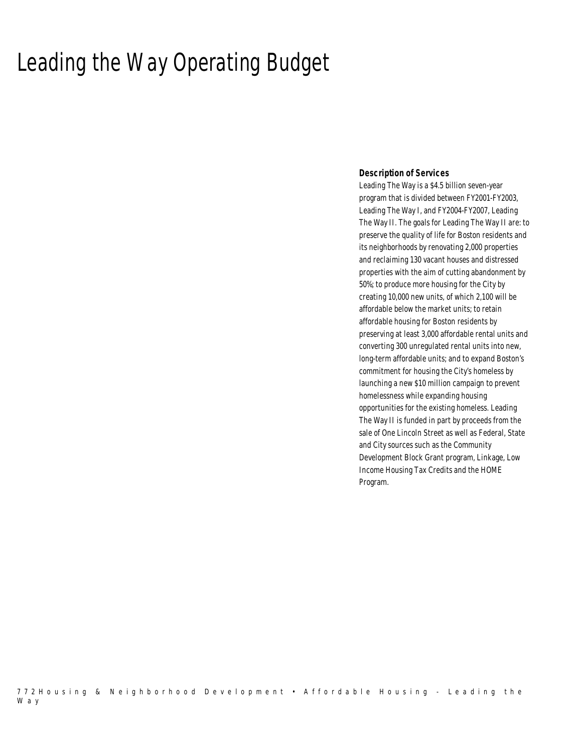## Leading the Way Operating Budget

### *Description of Services*

Leading The Way is a \$4.5 billion seven-year program that is divided between FY2001-FY2003, Leading The Way I, and FY2004-FY2007, Leading The Way II. The goals for Leading The Way II are: to preserve the quality of life for Boston residents and its neighborhoods by renovating 2,000 properties and reclaiming 130 vacant houses and distressed properties with the aim of cutting abandonment by 50%; to produce more housing for the City by creating 10,000 new units, of which 2,100 will be affordable below the market units; to retain affordable housing for Boston residents by preserving at least 3,000 affordable rental units and converting 300 unregulated rental units into new, long-term affordable units; and to expand Boston's commitment for housing the City's homeless by launching a new \$10 million campaign to prevent homelessness while expanding housing opportunities for the existing homeless. Leading The Way II is funded in part by proceeds from the sale of One Lincoln Street as well as Federal, State and City sources such as the Community Development Block Grant program, Linkage, Low Income Housing Tax Credits and the HOME Program.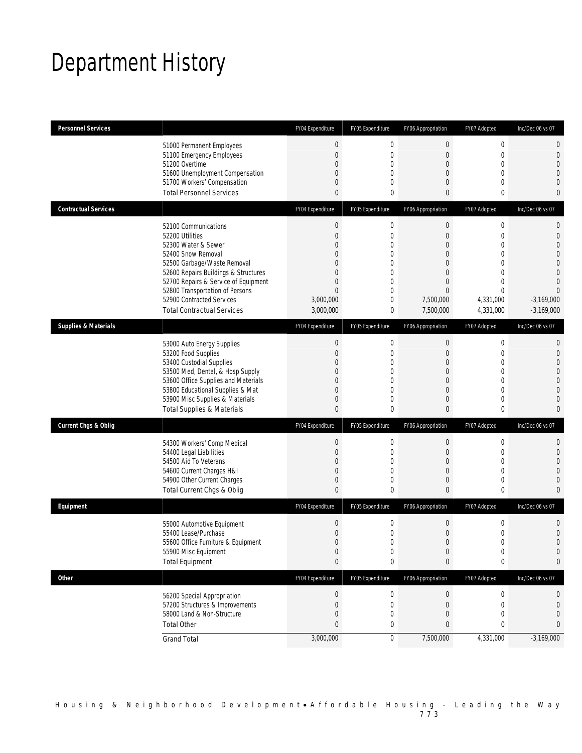## Department History

| <b>Personnel Services</b>       |                                                                                                                                                                                                                                                                                                          | FY04 Expenditure                                                                                                                                                   | FY05 Expenditure                                                                                                                                          | FY06 Appropriation                                                                                                                                  | FY07 Adopted                                                                                                                               | Inc/Dec 06 vs 07                                                                                                                  |
|---------------------------------|----------------------------------------------------------------------------------------------------------------------------------------------------------------------------------------------------------------------------------------------------------------------------------------------------------|--------------------------------------------------------------------------------------------------------------------------------------------------------------------|-----------------------------------------------------------------------------------------------------------------------------------------------------------|-----------------------------------------------------------------------------------------------------------------------------------------------------|--------------------------------------------------------------------------------------------------------------------------------------------|-----------------------------------------------------------------------------------------------------------------------------------|
|                                 | 51000 Permanent Employees<br>51100 Emergency Employees<br>51200 Overtime<br>51600 Unemployment Compensation<br>51700 Workers' Compensation<br><b>Total Personnel Services</b>                                                                                                                            | $\boldsymbol{0}$<br>$\mathbf 0$<br>$\overline{0}$<br>$\mathbf{0}$<br>$\mathbf 0$<br>$\theta$                                                                       | $\boldsymbol{0}$<br>$\mathbf 0$<br>$\mathbf{0}$<br>$\mathbf 0$<br>$\mathbf{0}$<br>$\mathbf 0$                                                             | $\theta$<br>$\boldsymbol{0}$<br>$\overline{0}$<br>$\mathbf{0}$<br>$\mathbf{0}$<br>$\mathbf{0}$                                                      | $\mathbf 0$<br>$\mathbf{0}$<br>$\Omega$<br>$\mathbf{0}$<br>$\mathbf{0}$<br>$\mathbf{0}$                                                    | 0<br>$\boldsymbol{0}$<br>$\mathbf{0}$<br>$\overline{0}$<br>$\mathbf 0$<br>$\mathbf{0}$                                            |
| <b>Contractual Services</b>     |                                                                                                                                                                                                                                                                                                          | FY04 Expenditure                                                                                                                                                   | FY05 Expenditure                                                                                                                                          | FY06 Appropriation                                                                                                                                  | FY07 Adopted                                                                                                                               | Inc/Dec 06 vs 07                                                                                                                  |
|                                 | 52100 Communications<br>52200 Utilities<br>52300 Water & Sewer<br>52400 Snow Removal<br>52500 Garbage/Waste Removal<br>52600 Repairs Buildings & Structures<br>52700 Repairs & Service of Equipment<br>52800 Transportation of Persons<br>52900 Contracted Services<br><b>Total Contractual Services</b> | $\boldsymbol{0}$<br>$\mathbf{0}$<br>$\overline{0}$<br>$\overline{0}$<br>$\overline{0}$<br>$\overline{0}$<br>$\mathbf{0}$<br>$\mathbf{0}$<br>3,000,000<br>3,000,000 | $\boldsymbol{0}$<br>$\mathbf 0$<br>$\mathbf{0}$<br>$\mathbf{0}$<br>$\mathbf 0$<br>$\mathbf{0}$<br>$\mathbf{0}$<br>$\mathbf{0}$<br>$\mathbf 0$<br>$\bf{0}$ | $\boldsymbol{0}$<br>$\mathbf{0}$<br>$\mathbf{0}$<br>$\mathbf{0}$<br>$\overline{0}$<br>$\overline{0}$<br>$\mathbf{0}$<br>0<br>7,500,000<br>7,500,000 | $\boldsymbol{0}$<br>$\mathbf{0}$<br>$\Omega$<br>$\mathbf{0}$<br>$\mathbf{0}$<br>$\Omega$<br>$\Omega$<br>$\Omega$<br>4,331,000<br>4,331,000 | 0<br>$\mathbf 0$<br>$\boldsymbol{0}$<br>$\theta$<br>$\boldsymbol{0}$<br>$\Omega$<br>$\Omega$<br>0<br>$-3,169,000$<br>$-3,169,000$ |
| <b>Supplies &amp; Materials</b> |                                                                                                                                                                                                                                                                                                          | FY04 Expenditure                                                                                                                                                   | FY05 Expenditure                                                                                                                                          | FY06 Appropriation                                                                                                                                  | FY07 Adopted                                                                                                                               | Inc/Dec 06 vs 07                                                                                                                  |
|                                 | 53000 Auto Energy Supplies<br>53200 Food Supplies<br>53400 Custodial Supplies<br>53500 Med, Dental, & Hosp Supply<br>53600 Office Supplies and Materials<br>53800 Educational Supplies & Mat<br>53900 Misc Supplies & Materials<br><b>Total Supplies &amp; Materials</b>                                 | $\mathbf 0$<br>$\overline{0}$<br>$\mathbf{0}$<br>$\mathbf{0}$<br>$\overline{0}$<br>$\mathbf{0}$<br>$\mathbf 0$<br>$\theta$                                         | $\mathbf 0$<br>$\mathbf 0$<br>$\mathbf{0}$<br>$\mathbf 0$<br>$\mathbf{0}$<br>$\mathbf{0}$<br>$\mathbf{0}$<br>$\Omega$                                     | $\mathbf 0$<br>$\boldsymbol{0}$<br>$\mathbf{0}$<br>$\overline{0}$<br>$\mathbf{0}$<br>$\mathbf{0}$<br>$\mathbf{0}$<br>$\theta$                       | $\mathbf 0$<br>$\mathbf{0}$<br>$\mathbf{0}$<br>$\mathbf{0}$<br>$\mathbf{0}$<br>$\Omega$<br>$\mathbf{0}$<br>0                               | 0<br>$\mathbf 0$<br>$\mathbf 0$<br>$\boldsymbol{0}$<br>$\mathbf{0}$<br>0<br>$\mathbf 0$<br>0                                      |
| <b>Current Chgs &amp; Oblig</b> |                                                                                                                                                                                                                                                                                                          | FY04 Expenditure                                                                                                                                                   | FY05 Expenditure                                                                                                                                          | FY06 Appropriation                                                                                                                                  | FY07 Adopted                                                                                                                               | Inc/Dec 06 vs 07                                                                                                                  |
|                                 | 54300 Workers' Comp Medical<br>54400 Legal Liabilities<br>54500 Aid To Veterans<br>54600 Current Charges H&I<br>54900 Other Current Charges<br>Total Current Chgs & Oblig                                                                                                                                | $\boldsymbol{0}$<br>$\overline{0}$<br>$\overline{0}$<br>$\overline{0}$<br>$\mathbf 0$<br>$\mathbf{0}$                                                              | $\boldsymbol{0}$<br>$\mathbf 0$<br>$\mathbf{0}$<br>$\mathbf{0}$<br>0<br>$\mathbf 0$                                                                       | $\boldsymbol{0}$<br>$\overline{0}$<br>$\overline{0}$<br>$\mathbf{0}$<br>$\mathbf 0$<br>$\mathbf{0}$                                                 | $\mathbf 0$<br>$\mathbf{0}$<br>$\mathbf{0}$<br>$\mathbf{0}$<br>$\mathbf 0$<br>$\mathbf{0}$                                                 | 0<br>$\mathbf 0$<br>$\mathbf{0}$<br>$\theta$<br>$\mathbf 0$<br>0                                                                  |
| Equipment                       |                                                                                                                                                                                                                                                                                                          | FY04 Expenditure                                                                                                                                                   | FY05 Expenditure                                                                                                                                          | FY06 Appropriation                                                                                                                                  | FY07 Adopted                                                                                                                               | Inc/Dec 06 vs 07                                                                                                                  |
|                                 | 55000 Automotive Equipment<br>55400 Lease/Purchase<br>55600 Office Furniture & Equipment<br>55900 Misc Equipment<br><b>Total Equipment</b>                                                                                                                                                               | $\boldsymbol{0}$<br>$\boldsymbol{0}$<br>$\Omega$<br>$\boldsymbol{0}$<br>$\mathbf{0}$                                                                               | $\mathbf 0$<br>$\mathbf 0$<br>$\Omega$<br>$\mathbf 0$<br>0                                                                                                | $\mathbf 0$<br>$\boldsymbol{0}$<br>$\Omega$<br>$\mathbf 0$<br>0                                                                                     | $\mathbf 0$<br>$\mathbf 0$<br>$\cap$<br>$\mathbf 0$<br>0                                                                                   | $\mathbf 0$<br>$\boldsymbol{0}$<br>$\Omega$<br>0<br>$\bf{0}$                                                                      |
| <b>Other</b>                    |                                                                                                                                                                                                                                                                                                          | FY04 Expenditure                                                                                                                                                   | FY05 Expenditure                                                                                                                                          | FY06 Appropriation                                                                                                                                  | FY07 Adopted                                                                                                                               | Inc/Dec 06 vs 07                                                                                                                  |
|                                 | 56200 Special Appropriation<br>57200 Structures & Improvements<br>58000 Land & Non-Structure<br><b>Total Other</b>                                                                                                                                                                                       | $\boldsymbol{0}$<br>$\mathbf{0}$<br>$\mathbf 0$<br>$\pmb{0}$                                                                                                       | $\boldsymbol{0}$<br>$\mathbf 0$<br>0<br>0                                                                                                                 | $\boldsymbol{0}$<br>$\overline{0}$<br>$\mathbf{0}$<br>0                                                                                             | $\boldsymbol{0}$<br>$\mathbf{0}$<br>$\mathbf 0$<br>0                                                                                       | 0<br>0<br>$\mathbf 0$<br>$\mathbf{0}$                                                                                             |
|                                 | <b>Grand Total</b>                                                                                                                                                                                                                                                                                       | 3,000,000                                                                                                                                                          | $\boldsymbol{0}$                                                                                                                                          | 7,500,000                                                                                                                                           | 4,331,000                                                                                                                                  | $-3,169,000$                                                                                                                      |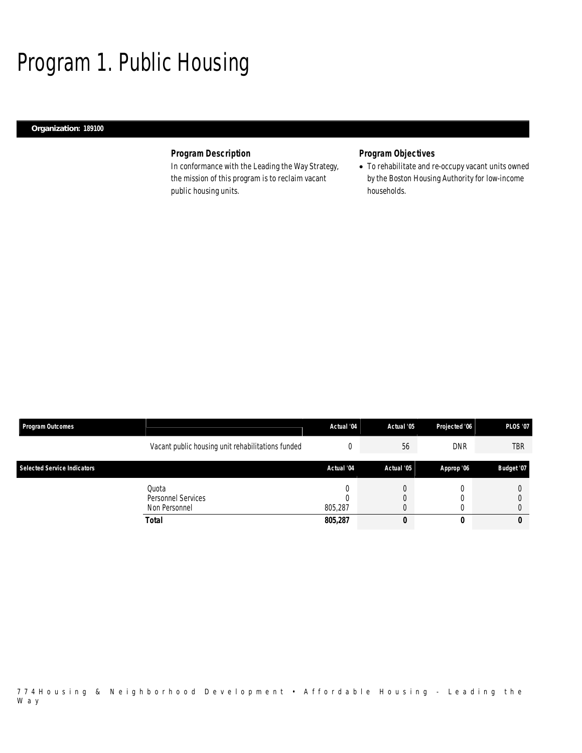# Program 1. Public Housing

## *Organization: 189100*

## *Program Description*

In conformance with the Leading the Way Strategy, the mission of this program is to reclaim vacant public housing units.

## *Program Objectives*

• To rehabilitate and re-occupy vacant units owned by the Boston Housing Authority for low-income households.

| <b>Program Outcomes</b>            |                                                   | Actual '04 | Actual '05 | Projected '06 | <b>PLOS '07</b> |
|------------------------------------|---------------------------------------------------|------------|------------|---------------|-----------------|
|                                    | Vacant public housing unit rehabilitations funded |            | 56         | <b>DNR</b>    | <b>TBR</b>      |
| <b>Selected Service Indicators</b> |                                                   | Actual '04 | Actual '05 | Approp '06    | Budget '07      |
|                                    | Quota<br>Personnel Services<br>Non Personnel      | 805.287    |            |               |                 |
|                                    | Total                                             | 805,287    | υ          |               |                 |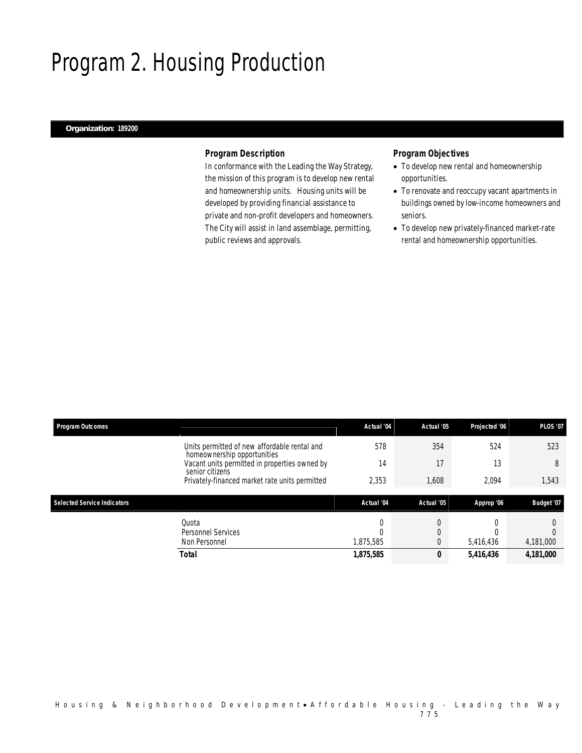## Program 2. Housing Production

### *Organization: 189200*

### *Program Description*

In conformance with the Leading the Way Strategy, the mission of this program is to develop new rental and homeownership units. Housing units will be developed by providing financial assistance to private and non-profit developers and homeowners. The City will assist in land assemblage, permitting, public reviews and approvals.

## *Program Objectives*

- To develop new rental and homeownership opportunities.
- To renovate and reoccupy vacant apartments in buildings owned by low-income homeowners and seniors.
- To develop new privately-financed market-rate rental and homeownership opportunities.

| <b>Program Outcomes</b>            |                                                                             | Actual '04 | Actual '05 | Projected '06 | <b>PLOS '07</b> |
|------------------------------------|-----------------------------------------------------------------------------|------------|------------|---------------|-----------------|
|                                    | Units permitted of new affordable rental and<br>homeownership opportunities | 578        | 354        | 524           | 523             |
|                                    | Vacant units permitted in properties owned by<br>senior citizens            | 14         | 17         | 13            | 8               |
|                                    | Privately-financed market rate units permitted                              | 2,353      | 1,608      | 2,094         | 1,543           |
| <b>Selected Service Indicators</b> |                                                                             | Actual '04 | Actual '05 | Approp '06    | Budget '07      |
|                                    | Quota                                                                       | 0          |            |               |                 |
|                                    | Personnel Services                                                          |            | 0          |               |                 |
|                                    | Non Personnel                                                               | 1,875,585  | 0          | 5,416,436     | 4,181,000       |
|                                    |                                                                             |            |            |               |                 |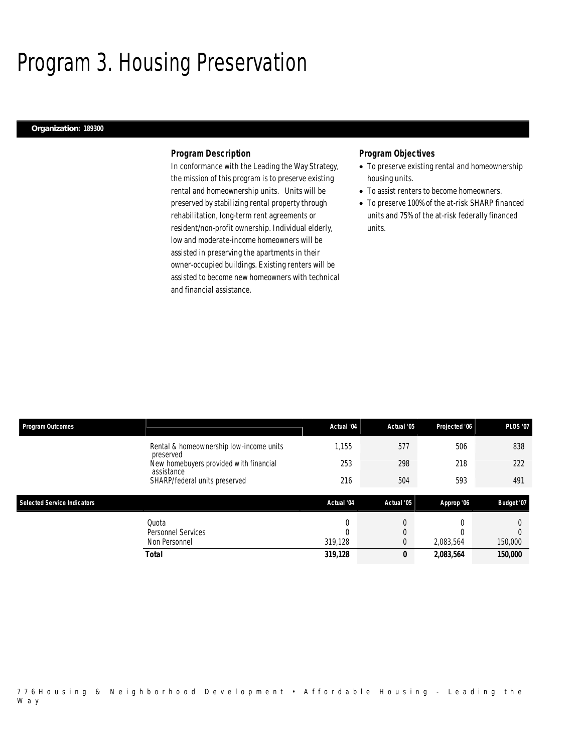## Program 3. Housing Preservation

#### *Organization: 189300*

### *Program Description*

In conformance with the Leading the Way Strategy, the mission of this program is to preserve existing rental and homeownership units. Units will be preserved by stabilizing rental property through rehabilitation, long-term rent agreements or resident/non-profit ownership. Individual elderly, low and moderate-income homeowners will be assisted in preserving the apartments in their owner-occupied buildings. Existing renters will be assisted to become new homeowners with technical and financial assistance.

### *Program Objectives*

- To preserve existing rental and homeownership housing units.
- To assist renters to become homeowners.
- To preserve 100% of the at-risk SHARP financed units and 75% of the at-risk federally financed units.

| Program Outcomes                   |                                                      | Actual '04 | Actual '05 | Projected '06 | <b>PLOS '07</b> |
|------------------------------------|------------------------------------------------------|------------|------------|---------------|-----------------|
|                                    | Rental & homeownership low-income units<br>preserved | 1.155      | 577        | 506           | 838             |
|                                    | New homebuyers provided with financial<br>assistance | 253        | 298        | 218           | 222             |
|                                    | SHARP/federal units preserved                        | 216        | 504        | 593           | 491             |
|                                    |                                                      |            |            |               |                 |
| <b>Selected Service Indicators</b> |                                                      | Actual '04 | Actual '05 | Approp '06    | Budget '07      |
|                                    | Quota                                                | 0          | 0          |               |                 |
|                                    | Personnel Services                                   |            | 0          |               |                 |
|                                    | Non Personnel                                        | 319,128    | 0          | 2,083,564     | 150,000         |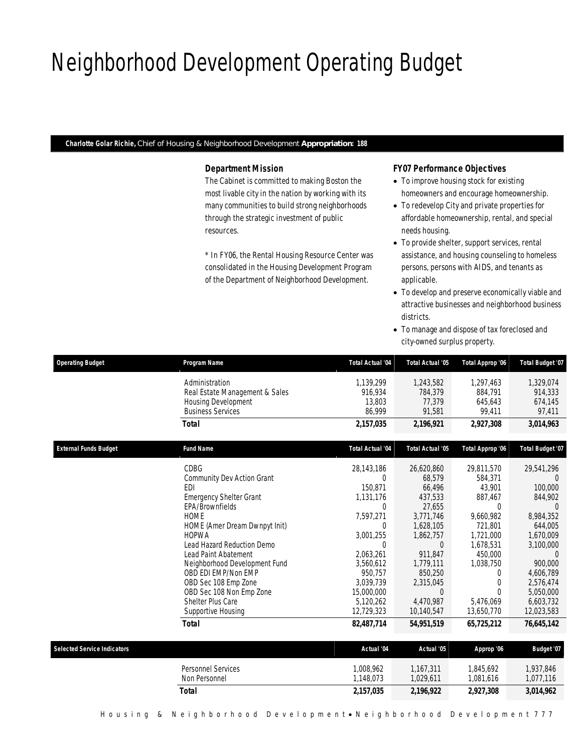## Neighborhood Development Operating Budget

*Charlotte Golar Richie, Chief of Housing & Neighborhood Development Appropriation: 188* 

## *Department Mission*

The Cabinet is committed to making Boston the most livable city in the nation by working with its many communities to build strong neighborhoods through the strategic investment of public resources.

\* In FY06, the Rental Housing Resource Center was consolidated in the Housing Development Program of the Department of Neighborhood Development.

## *FY07 Performance Objectives*

- To improve housing stock for existing homeowners and encourage homeownership.
- To redevelop City and private properties for affordable homeownership, rental, and special needs housing.
- To provide shelter, support services, rental assistance, and housing counseling to homeless persons, persons with AIDS, and tenants as applicable.
- To develop and preserve economically viable and attractive businesses and neighborhood business districts.
- To manage and dispose of tax foreclosed and city-owned surplus property.

| <b>Operating Budget</b>            | Program Name                                                                                        | Total Actual '04                         | Total Actual '05                         | Total Approp '06                          | Total Budget '07                          |
|------------------------------------|-----------------------------------------------------------------------------------------------------|------------------------------------------|------------------------------------------|-------------------------------------------|-------------------------------------------|
|                                    | Administration<br>Real Estate Management & Sales<br>Housing Development<br><b>Business Services</b> | 1,139,299<br>916,934<br>13,803<br>86,999 | 1,243,582<br>784,379<br>77,379<br>91,581 | 1,297,463<br>884,791<br>645,643<br>99,411 | 1,329,074<br>914,333<br>674,145<br>97,411 |
|                                    | <b>Total</b>                                                                                        | 2,157,035                                | 2,196,921                                | 2,927,308                                 | 3,014,963                                 |
| <b>External Funds Budget</b>       | <b>Fund Name</b>                                                                                    | <b>Total Actual '04</b>                  | Total Actual '05                         | Total Approp '06                          | Total Budget '07                          |
|                                    | CDBG                                                                                                | 28,143,186                               | 26,620,860                               | 29,811,570                                | 29,541,296                                |
|                                    | Community Dev Action Grant                                                                          | $\Omega$                                 | 68,579                                   | 584,371                                   |                                           |
|                                    | <b>FDI</b>                                                                                          | 150.871                                  | 66,496                                   | 43,901                                    | 100,000                                   |
|                                    | <b>Emergency Shelter Grant</b>                                                                      | 1,131,176                                | 437,533                                  | 887,467                                   | 844,902                                   |
|                                    | EPA/Brownfields                                                                                     | $\theta$                                 | 27,655                                   | $\Omega$                                  | $\Omega$                                  |
|                                    | <b>HOME</b>                                                                                         | 7,597,271                                | 3,771,746                                | 9,660,982                                 | 8,984,352                                 |
|                                    | HOME (Amer Dream Dwnpyt Init)                                                                       | 0                                        | 1,628,105                                | 721,801                                   | 644.005                                   |
|                                    | <b>HOPWA</b>                                                                                        | 3,001,255                                | 1,862,757                                | 1,721,000                                 | 1,670,009                                 |
|                                    | Lead Hazard Reduction Demo                                                                          | $\theta$                                 | $\Omega$                                 | 1,678,531                                 | 3,100,000                                 |
|                                    | <b>Lead Paint Abatement</b>                                                                         | 2,063,261                                | 911,847                                  | 450,000                                   | $\overline{0}$                            |
|                                    | Neighborhood Development Fund                                                                       | 3,560,612                                | 1,779,111                                | 1,038,750                                 | 900.000                                   |
|                                    | OBD EDI EMP/Non EMP                                                                                 | 950,757                                  | 850,250                                  | 0                                         | 4,606,789                                 |
|                                    | OBD Sec 108 Emp Zone                                                                                | 3,039,739                                | 2,315,045                                | $\Omega$                                  | 2,576,474                                 |
|                                    | OBD Sec 108 Non Emp Zone                                                                            | 15,000,000                               | $\Omega$                                 | 0                                         | 5,050,000                                 |
|                                    | Shelter Plus Care                                                                                   | 5,120,262                                | 4,470,987                                | 5,476,069                                 | 6,603,732                                 |
|                                    | Supportive Housing                                                                                  | 12,729,323                               | 10,140,547                               | 13,650,770                                | 12,023,583                                |
|                                    | <b>Total</b>                                                                                        | 82,487,714                               | 54,951,519                               | 65,725,212                                | 76,645,142                                |
| <b>Selected Service Indicators</b> |                                                                                                     | Actual '04                               | Actual '05                               | Approp '06                                | Budget '07                                |
|                                    |                                                                                                     |                                          |                                          |                                           |                                           |
|                                    | Personnel Services                                                                                  | 1,008,962                                | 1,167,311                                | 1,845,692                                 | 1,937,846                                 |
|                                    | Non Personnel                                                                                       | 1,148,073                                | 1,029,611                                | 1,081,616                                 | 1,077,116                                 |
|                                    | <b>Total</b>                                                                                        | 2,157,035                                | 2,196,922                                | 2,927,308                                 | 3,014,962                                 |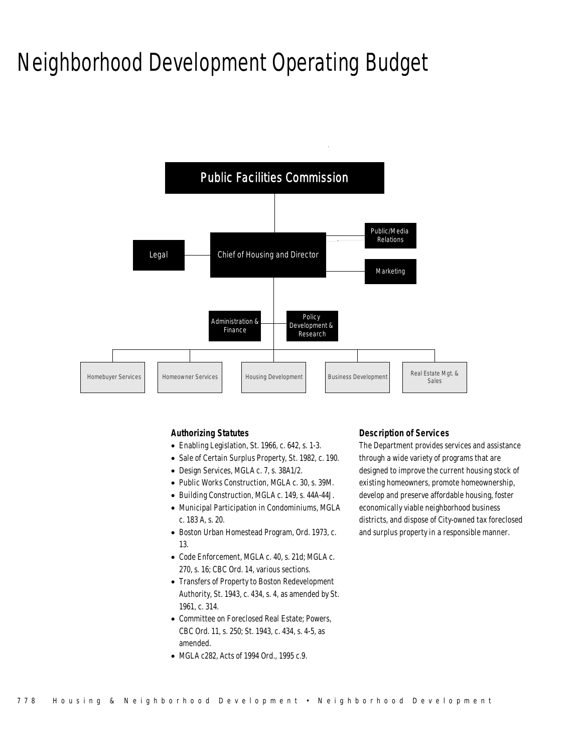## Neighborhood Development Operating Budget



## *Authorizing Statutes*

- Enabling Legislation, St. 1966, c. 642, s. 1-3.
- Sale of Certain Surplus Property, St. 1982, c. 190.
- Design Services, MGLA c. 7, s. 38A1/2.
- Public Works Construction, MGLA c. 30, s. 39M.
- Building Construction, MGLA c. 149, s. 44A-44J.
- Municipal Participation in Condominiums, MGLA c. 183 A, s. 20.
- Boston Urban Homestead Program, Ord. 1973, c. 13.
- Code Enforcement, MGLA c. 40, s. 21d; MGLA c. 270, s. 16; CBC Ord. 14, various sections.
- Transfers of Property to Boston Redevelopment Authority, St. 1943, c. 434, s. 4, as amended by St. 1961, c. 314.
- Committee on Foreclosed Real Estate; Powers, CBC Ord. 11, s. 250; St. 1943, c. 434, s. 4-5, as amended.
- MGLA c282, Acts of 1994 Ord., 1995 c.9.

## *Description of Services*

The Department provides services and assistance through a wide variety of programs that are designed to improve the current housing stock of existing homeowners, promote homeownership, develop and preserve affordable housing, foster economically viable neighborhood business districts, and dispose of City-owned tax foreclosed and surplus property in a responsible manner.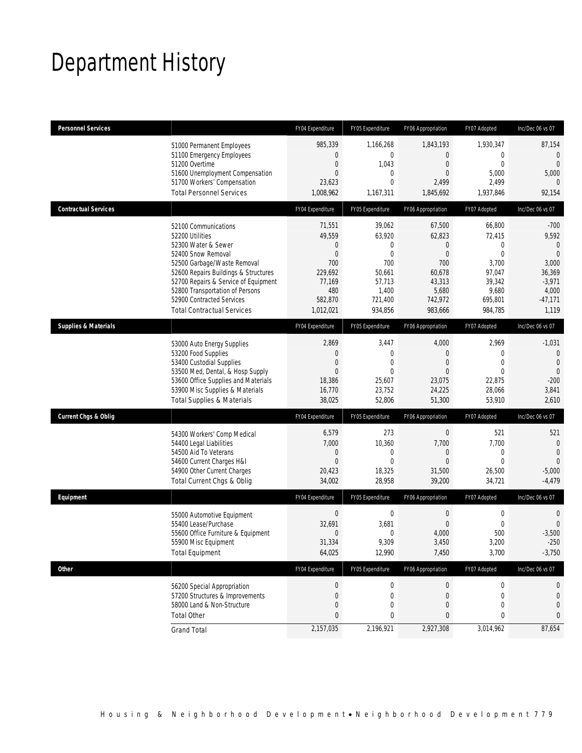# Department History

| <b>Personnel Services</b>       |                                                                                                                                                                                                                                                                                                          | FY04 Expenditure                                                                                          | FY05 Expenditure                                                                                          | FY06 Appropriation                                                                                | FY07 Adopted                                                                                         | Inc/Dec 06 vs 07                                                                                      |
|---------------------------------|----------------------------------------------------------------------------------------------------------------------------------------------------------------------------------------------------------------------------------------------------------------------------------------------------------|-----------------------------------------------------------------------------------------------------------|-----------------------------------------------------------------------------------------------------------|---------------------------------------------------------------------------------------------------|------------------------------------------------------------------------------------------------------|-------------------------------------------------------------------------------------------------------|
|                                 | 51000 Permanent Employees<br>51100 Emergency Employees<br>51200 Overtime<br>51600 Unemployment Compensation<br>51700 Workers' Compensation<br><b>Total Personnel Services</b>                                                                                                                            | 985,339<br>0<br>$\overline{0}$<br>$\Omega$<br>23,623<br>1,008,962                                         | 1,166,268<br>$\mathbf 0$<br>1,043<br>$\mathbf{0}$<br>$\mathbf{0}$<br>1,167,311                            | 1,843,193<br>$\Omega$<br>$\overline{0}$<br>0<br>2,499<br>1,845,692                                | 1,930,347<br>$\Omega$<br>$\Omega$<br>5,000<br>2,499<br>1,937,846                                     | 87,154<br>$\mathbf{0}$<br>$\overline{0}$<br>5,000<br>$\Omega$<br>92,154                               |
| <b>Contractual Services</b>     |                                                                                                                                                                                                                                                                                                          | FY04 Expenditure                                                                                          | FY05 Expenditure                                                                                          | FY06 Appropriation                                                                                | FY07 Adopted                                                                                         | Inc/Dec 06 vs 07                                                                                      |
|                                 | 52100 Communications<br>52200 Utilities<br>52300 Water & Sewer<br>52400 Snow Removal<br>52500 Garbage/Waste Removal<br>52600 Repairs Buildings & Structures<br>52700 Repairs & Service of Equipment<br>52800 Transportation of Persons<br>52900 Contracted Services<br><b>Total Contractual Services</b> | 71,551<br>49,559<br>$\Omega$<br>$\overline{0}$<br>700<br>229,692<br>77,169<br>480<br>582,870<br>1,012,021 | 39,062<br>63,920<br>$\mathbf 0$<br>$\mathbf{0}$<br>700<br>50,661<br>57,713<br>1,400<br>721,400<br>934,856 | 67,500<br>62,823<br>0<br>$\overline{0}$<br>700<br>60,678<br>43,313<br>5,680<br>742,972<br>983,666 | 66,800<br>72,415<br>$\Omega$<br>$\Omega$<br>3,700<br>97,047<br>39,342<br>9,680<br>695,801<br>984,785 | $-700$<br>9,592<br>$\Omega$<br>$\Omega$<br>3,000<br>36,369<br>$-3,971$<br>4,000<br>$-47,171$<br>1,119 |
| <b>Supplies &amp; Materials</b> |                                                                                                                                                                                                                                                                                                          | FY04 Expenditure                                                                                          | FY05 Expenditure                                                                                          | FY06 Appropriation                                                                                | FY07 Adopted                                                                                         | Inc/Dec 06 vs 07                                                                                      |
|                                 | 53000 Auto Energy Supplies<br>53200 Food Supplies<br>53400 Custodial Supplies<br>53500 Med, Dental, & Hosp Supply<br>53600 Office Supplies and Materials<br>53900 Misc Supplies & Materials<br><b>Total Supplies &amp; Materials</b>                                                                     | 2,869<br>$\Omega$<br>$\mathbf 0$<br>$\Omega$<br>18,386<br>16,770<br>38,025                                | 3,447<br>$\mathbf{0}$<br>$\mathbf 0$<br>$\mathbf{0}$<br>25,607<br>23,752<br>52,806                        | 4,000<br>0<br>$\mathbf 0$<br>$\Omega$<br>23,075<br>24,225<br>51,300                               | 2,969<br>$\Omega$<br>$\overline{0}$<br>$\Omega$<br>22,875<br>28,066<br>53,910                        | $-1,031$<br>$\mathbf{0}$<br>$\overline{0}$<br>$\theta$<br>$-200$<br>3,841<br>2,610                    |
| <b>Current Chgs &amp; Oblig</b> |                                                                                                                                                                                                                                                                                                          | FY04 Expenditure                                                                                          | FY05 Expenditure                                                                                          | FY06 Appropriation                                                                                | FY07 Adopted                                                                                         | Inc/Dec 06 vs 07                                                                                      |
|                                 | 54300 Workers' Comp Medical<br>54400 Legal Liabilities<br>54500 Aid To Veterans<br>54600 Current Charges H&I<br>54900 Other Current Charges<br>Total Current Chgs & Oblig                                                                                                                                | 6,579<br>7,000<br>0<br>$\Omega$<br>20,423<br>34,002                                                       | 273<br>10,360<br>$\mathbf{0}$<br>$\mathbf{0}$<br>18,325<br>28,958                                         | $\mathbf 0$<br>7,700<br>0<br>$\Omega$<br>31,500<br>39,200                                         | 521<br>7,700<br>0<br>$\Omega$<br>26,500<br>34,721                                                    | 521<br>$\overline{0}$<br>$\theta$<br>$\Omega$<br>$-5,000$<br>$-4,479$                                 |
| Equipment                       |                                                                                                                                                                                                                                                                                                          | FY04 Expenditure                                                                                          | FY05 Expenditure                                                                                          | FY06 Appropriation                                                                                | FY07 Adopted                                                                                         | Inc/Dec 06 vs 07                                                                                      |
|                                 | 55000 Automotive Equipment<br>55400 Lease/Purchase<br>55600 Office Furniture & Equipment<br>55900 Misc Equipment<br><b>Total Equipment</b>                                                                                                                                                               | $\mathbf 0$<br>32,691<br>0<br>31,334<br>64,025                                                            | $\boldsymbol{0}$<br>3,681<br>$\mathbf{0}$<br>9,309<br>12,990                                              | $\theta$<br>$\Omega$<br>4,000<br>3,450<br>7,450                                                   | $\mathbf 0$<br>$\theta$<br>500<br>3,200<br>3,700                                                     | 0<br>$\Omega$<br>$-3,500$<br>$-250$<br>$-3,750$                                                       |
| <b>Other</b>                    |                                                                                                                                                                                                                                                                                                          | FY04 Expenditure                                                                                          | FY05 Expenditure                                                                                          | FY06 Appropriation                                                                                | FY07 Adopted                                                                                         | Inc/Dec 06 vs 07                                                                                      |
|                                 | 56200 Special Appropriation<br>57200 Structures & Improvements<br>58000 Land & Non-Structure<br><b>Total Other</b>                                                                                                                                                                                       | 0<br>0<br>0<br>0                                                                                          | $\boldsymbol{0}$<br>$\mathbf 0$<br>$\mathbf 0$<br>0                                                       | $\boldsymbol{0}$<br>0<br>0<br>0                                                                   | 0<br>0<br>0<br>0                                                                                     | 0<br>$\theta$<br>0<br>0                                                                               |
|                                 | <b>Grand Total</b>                                                                                                                                                                                                                                                                                       | 2,157,035                                                                                                 | 2,196,921                                                                                                 | 2,927,308                                                                                         | 3,014,962                                                                                            | 87,654                                                                                                |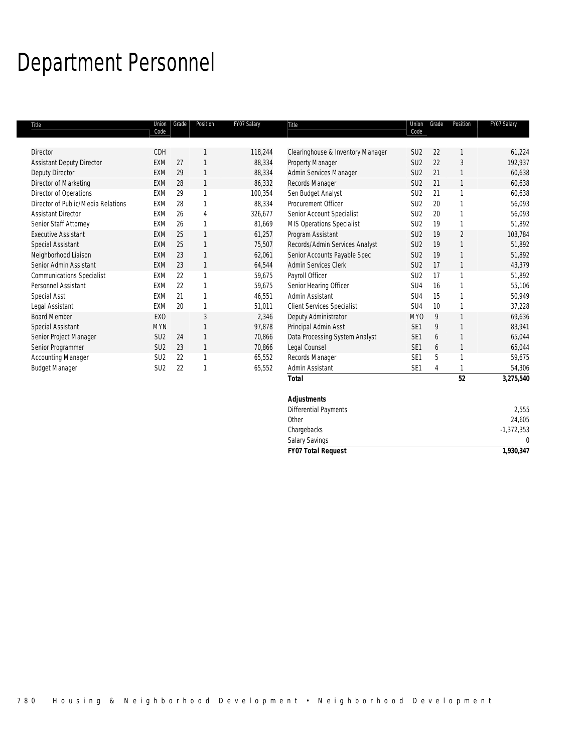## Department Personnel

| Title                              | Union<br>Code   | Grade | Position       | FY07 Salary | Title                             | Union<br>Code   | Grade | Position       | FY07 Salary  |
|------------------------------------|-----------------|-------|----------------|-------------|-----------------------------------|-----------------|-------|----------------|--------------|
|                                    |                 |       |                |             |                                   |                 |       |                |              |
| Director                           | CDH             |       |                | 118,244     | Clearinghouse & Inventory Manager | SU <sub>2</sub> | 22    |                | 61,224       |
| <b>Assistant Deputy Director</b>   | EXM             | 27    | 1              | 88,334      | Property Manager                  | SU <sub>2</sub> | 22    | 3              | 192,937      |
| Deputy Director                    | <b>EXM</b>      | 29    | 1              | 88,334      | Admin Services Manager            | SU <sub>2</sub> | 21    | $\mathbf{1}$   | 60,638       |
| Director of Marketing              | EXM             | 28    | 1              | 86,332      | Records Manager                   | SU <sub>2</sub> | 21    | 1              | 60,638       |
| Director of Operations             | <b>EXM</b>      | 29    | 1              | 100,354     | Sen Budget Analyst                | SU <sub>2</sub> | 21    | $\mathbf{1}$   | 60,638       |
| Director of Public/Media Relations | EXM             | 28    | 1              | 88,334      | Procurement Officer               | SU <sub>2</sub> | 20    | $\mathbf{1}$   | 56,093       |
| <b>Assistant Director</b>          | EXM             | 26    | $\overline{4}$ | 326,677     | Senior Account Specialist         | SU <sub>2</sub> | 20    | $\mathbf{1}$   | 56,093       |
| Senior Staff Attorney              | <b>EXM</b>      | 26    | 1              | 81,669      | MIS Operations Specialist         | SU <sub>2</sub> | 19    | $\mathbf{1}$   | 51,892       |
| <b>Executive Assistant</b>         | <b>EXM</b>      | 25    | 1              | 61,257      | Program Assistant                 | SU <sub>2</sub> | 19    | $\overline{2}$ | 103,784      |
| Special Assistant                  | <b>EXM</b>      | 25    | 1              | 75,507      | Records/Admin Services Analyst    | SU <sub>2</sub> | 19    | $\mathbf{1}$   | 51,892       |
| Neighborhood Liaison               | <b>EXM</b>      | 23    | 1              | 62,061      | Senior Accounts Payable Spec      | SU <sub>2</sub> | 19    | $\mathbf{1}$   | 51,892       |
| Senior Admin Assistant             | <b>EXM</b>      | 23    | $\mathbf{1}$   | 64,544      | <b>Admin Services Clerk</b>       | SU <sub>2</sub> | 17    | $\mathbf{1}$   | 43,379       |
| <b>Communications Specialist</b>   | EXM             | 22    | 1              | 59,675      | Payroll Officer                   | SU <sub>2</sub> | 17    | $\mathbf{1}$   | 51,892       |
| Personnel Assistant                | <b>EXM</b>      | 22    | 1              | 59,675      | Senior Hearing Officer            | SU <sub>4</sub> | 16    | $\mathbf{1}$   | 55,106       |
| Special Asst                       | <b>EXM</b>      | 21    | 1              | 46,551      | Admin Assistant                   | SU4             | 15    | $\mathbf{1}$   | 50,949       |
| Legal Assistant                    | <b>EXM</b>      | 20    | 1              | 51,011      | <b>Client Services Specialist</b> | SU <sub>4</sub> | 10    | $\mathbf{1}$   | 37,228       |
| <b>Board Member</b>                | EXO             |       | 3              | 2,346       | Deputy Administrator              | MY <sub>0</sub> | 9     | $\mathbf{1}$   | 69,636       |
| Special Assistant                  | <b>MYN</b>      |       | 1              | 97,878      | Principal Admin Asst              | SE <sub>1</sub> | 9     | $\mathbf{1}$   | 83,941       |
| Senior Project Manager             | SU <sub>2</sub> | 24    | $\mathbf{1}$   | 70,866      | Data Processing System Analyst    | SE <sub>1</sub> | 6     | $\mathbf{1}$   | 65,044       |
| Senior Programmer                  | SU <sub>2</sub> | 23    | 1              | 70,866      | Legal Counsel                     | SE <sub>1</sub> | 6     | $\mathbf{1}$   | 65,044       |
| <b>Accounting Manager</b>          | SU <sub>2</sub> | 22    | 1              | 65,552      | Records Manager                   | SE1             | 5     | $\mathbf{1}$   | 59,675       |
| <b>Budget Manager</b>              | SU <sub>2</sub> | 22    | 1              | 65,552      | Admin Assistant                   | SE <sub>1</sub> | 4     | 1              | 54,306       |
|                                    |                 |       |                |             | <b>Total</b>                      |                 |       | 52             | 3,275,540    |
|                                    |                 |       |                |             | <b>Adjustments</b>                |                 |       |                |              |
|                                    |                 |       |                |             | Differential Payments             |                 |       |                | 2,555        |
|                                    |                 |       |                |             | Other                             |                 |       |                | 24,605       |
|                                    |                 |       |                |             | Chargebacks                       |                 |       |                | $-1,372,353$ |
|                                    |                 |       |                |             | Salary Savings                    |                 |       |                | 0            |
|                                    |                 |       |                |             | <b>FY07 Total Request</b>         |                 |       |                | 1.930.347    |

*FY07 Total Request 1,930,347*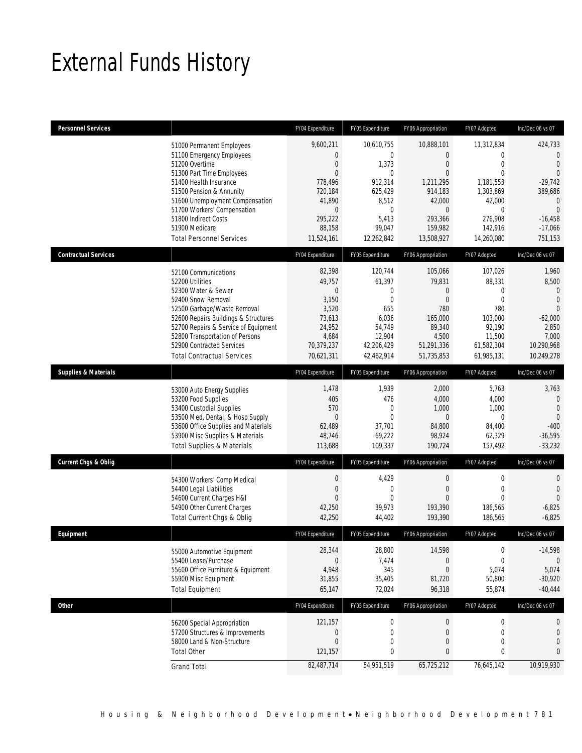## External Funds History

| <b>Personnel Services</b>       |                                                                                                                                                                                                                                                                                                            | FY04 Expenditure                                                                                                                                 | FY05 Expenditure                                                                                                                   | FY06 Appropriation                                                                                                                     | FY07 Adopted                                                                                                         | Inc/Dec 06 vs 07                                                                                                                                     |
|---------------------------------|------------------------------------------------------------------------------------------------------------------------------------------------------------------------------------------------------------------------------------------------------------------------------------------------------------|--------------------------------------------------------------------------------------------------------------------------------------------------|------------------------------------------------------------------------------------------------------------------------------------|----------------------------------------------------------------------------------------------------------------------------------------|----------------------------------------------------------------------------------------------------------------------|------------------------------------------------------------------------------------------------------------------------------------------------------|
|                                 | 51000 Permanent Employees<br>51100 Emergency Employees<br>51200 Overtime<br>51300 Part Time Employees<br>51400 Health Insurance<br>51500 Pension & Annunity<br>51600 Unemployment Compensation<br>51700 Workers' Compensation<br>51800 Indirect Costs<br>51900 Medicare<br><b>Total Personnel Services</b> | 9,600,211<br>$\mathbf{0}$<br>$\overline{0}$<br>$\overline{0}$<br>778.496<br>720,184<br>41,890<br>$\mathbf{0}$<br>295,222<br>88,158<br>11,524,161 | 10,610,755<br>$\mathbf{0}$<br>1,373<br>$\mathbf{0}$<br>912,314<br>625,429<br>8,512<br>$\mathbf 0$<br>5,413<br>99,047<br>12,262,842 | 10,888,101<br>$\overline{0}$<br>$\Omega$<br>$\Omega$<br>1.211.295<br>914,183<br>42,000<br>$\Omega$<br>293.366<br>159,982<br>13,508,927 | 11,312,834<br>0<br>$\theta$<br>$\theta$<br>1,181,553<br>1,303,869<br>42,000<br>0<br>276,908<br>142,916<br>14,260,080 | 424,733<br>$\mathbf{0}$<br>$\overline{0}$<br>$\Omega$<br>$-29,742$<br>389,686<br>$\mathbf{0}$<br>$\overline{0}$<br>$-16,458$<br>$-17,066$<br>751,153 |
| <b>Contractual Services</b>     |                                                                                                                                                                                                                                                                                                            | FY04 Expenditure                                                                                                                                 | FY05 Expenditure                                                                                                                   | FY06 Appropriation                                                                                                                     | FY07 Adopted                                                                                                         | Inc/Dec 06 vs 07                                                                                                                                     |
|                                 | 52100 Communications<br>52200 Utilities<br>52300 Water & Sewer<br>52400 Snow Removal<br>52500 Garbage/Waste Removal<br>52600 Repairs Buildings & Structures<br>52700 Repairs & Service of Equipment<br>52800 Transportation of Persons<br>52900 Contracted Services<br><b>Total Contractual Services</b>   | 82,398<br>49,757<br>$\mathbf 0$<br>3,150<br>3,520<br>73,613<br>24,952<br>4,684<br>70,379,237<br>70,621,311                                       | 120,744<br>61,397<br>0<br>$\mathbf{0}$<br>655<br>6,036<br>54,749<br>12,904<br>42,206,429<br>42,462,914                             | 105,066<br>79,831<br>$\overline{0}$<br>$\overline{0}$<br>780<br>165,000<br>89,340<br>4,500<br>51,291,336<br>51,735,853                 | 107,026<br>88,331<br>0<br>$\mathbf 0$<br>780<br>103,000<br>92,190<br>11,500<br>61,582,304<br>61,985,131              | 1,960<br>8,500<br>$\theta$<br>$\overline{0}$<br>$\overline{0}$<br>$-62,000$<br>2,850<br>7,000<br>10,290,968<br>10,249,278                            |
| <b>Supplies &amp; Materials</b> |                                                                                                                                                                                                                                                                                                            | FY04 Expenditure                                                                                                                                 | FY05 Expenditure                                                                                                                   | FY06 Appropriation                                                                                                                     | FY07 Adopted                                                                                                         | Inc/Dec 06 vs 07                                                                                                                                     |
|                                 | 53000 Auto Energy Supplies<br>53200 Food Supplies<br>53400 Custodial Supplies<br>53500 Med, Dental, & Hosp Supply<br>53600 Office Supplies and Materials<br>53900 Misc Supplies & Materials<br><b>Total Supplies &amp; Materials</b>                                                                       | 1,478<br>405<br>570<br>$\mathbf{0}$<br>62,489<br>48,746<br>113,688                                                                               | 1,939<br>476<br>$\mathbf 0$<br>$\mathbf{0}$<br>37,701<br>69,222<br>109,337                                                         | 2,000<br>4,000<br>1,000<br>$\overline{0}$<br>84,800<br>98,924<br>190,724                                                               | 5,763<br>4,000<br>1,000<br>$\mathbf 0$<br>84,400<br>62,329<br>157,492                                                | 3,763<br>$\mathbf{0}$<br>$\mathbf{0}$<br>$\overline{0}$<br>$-400$<br>$-36,595$<br>$-33,232$                                                          |
| <b>Current Chgs &amp; Oblig</b> |                                                                                                                                                                                                                                                                                                            | FY04 Expenditure                                                                                                                                 | FY05 Expenditure                                                                                                                   | FY06 Appropriation                                                                                                                     | FY07 Adopted                                                                                                         | Inc/Dec 06 vs 07                                                                                                                                     |
|                                 | 54300 Workers' Comp Medical<br>54400 Legal Liabilities<br>54600 Current Charges H&I<br>54900 Other Current Charges<br>Total Current Chgs & Oblig                                                                                                                                                           | $\mathbf 0$<br>$\mathbf{0}$<br>$\mathbf{0}$<br>42,250<br>42,250                                                                                  | 4,429<br>$\mathbf{0}$<br>$\mathbf{0}$<br>39,973<br>44,402                                                                          | $\boldsymbol{0}$<br>$\mathbf{0}$<br>$\mathbf{0}$<br>193,390<br>193,390                                                                 | $\mathbf 0$<br>$\mathbf 0$<br>$\theta$<br>186,565<br>186,565                                                         | $\mathbf 0$<br>$\overline{0}$<br>$\Omega$<br>$-6,825$<br>$-6,825$                                                                                    |
| Equipment                       |                                                                                                                                                                                                                                                                                                            | FY04 Expenditure                                                                                                                                 | FY05 Expenditure                                                                                                                   | FY06 Appropriation                                                                                                                     | FY07 Adopted                                                                                                         | Inc/Dec 06 vs 07                                                                                                                                     |
|                                 | 55000 Automotive Equipment<br>55400 Lease/Purchase<br>55600 Office Furniture & Equipment<br>55900 Misc Equipment<br><b>Total Equipment</b>                                                                                                                                                                 | 28,344<br>$\mathbf{0}$<br>4,948<br>31,855<br>65,147                                                                                              | 28,800<br>7,474<br>345<br>35,405<br>72,024                                                                                         | 14,598<br>$\overline{0}$<br>$\overline{0}$<br>81,720<br>96,318                                                                         | $\boldsymbol{0}$<br>$\mathbf 0$<br>5,074<br>50,800<br>55,874                                                         | $-14,598$<br>$\theta$<br>5,074<br>$-30,920$<br>$-40,444$                                                                                             |
| <b>Other</b>                    |                                                                                                                                                                                                                                                                                                            | FY04 Expenditure                                                                                                                                 | FY05 Expenditure                                                                                                                   | FY06 Appropriation                                                                                                                     | FY07 Adopted                                                                                                         | Inc/Dec 06 vs 07                                                                                                                                     |
|                                 | 56200 Special Appropriation<br>57200 Structures & Improvements<br>58000 Land & Non-Structure<br><b>Total Other</b>                                                                                                                                                                                         | 121,157<br>$\boldsymbol{0}$<br>$\mathbf 0$<br>121,157                                                                                            | $\boldsymbol{0}$<br>$\mathbf 0$<br>$\mathbf 0$<br>0                                                                                | $\boldsymbol{0}$<br>$\boldsymbol{0}$<br>$\boldsymbol{0}$<br>$\mathbf{0}$                                                               | 0<br>$\boldsymbol{0}$<br>$\boldsymbol{0}$<br>0                                                                       | 0<br>$\mathbf{0}$<br>$\overline{0}$<br>$\mathbf{0}$                                                                                                  |
|                                 | <b>Grand Total</b>                                                                                                                                                                                                                                                                                         | 82,487,714                                                                                                                                       | 54,951,519                                                                                                                         | 65,725,212                                                                                                                             | 76,645,142                                                                                                           | 10,919,930                                                                                                                                           |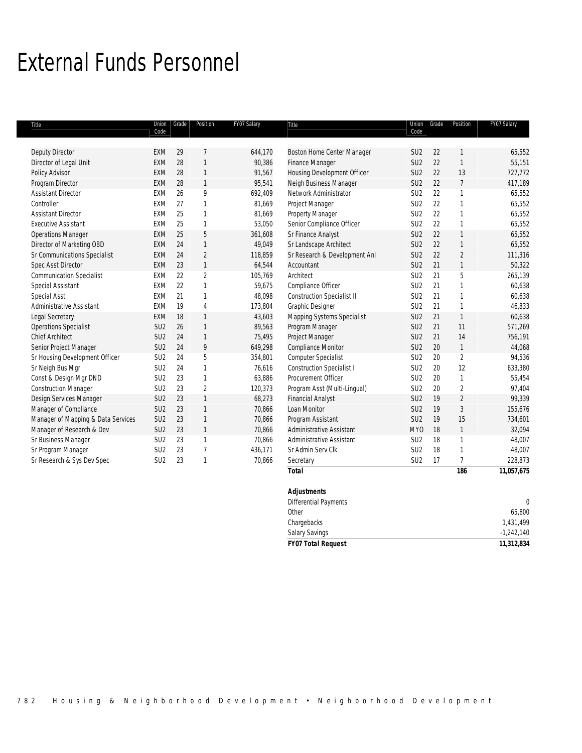## External Funds Personnel

| Title                              | Code            | Union Grade | Position       | FY07 Salary | Title                             | Union<br>Code   | Grade | Position       | FY07 Salary  |
|------------------------------------|-----------------|-------------|----------------|-------------|-----------------------------------|-----------------|-------|----------------|--------------|
|                                    |                 |             |                |             |                                   |                 |       |                |              |
| Deputy Director                    | <b>EXM</b>      | 29          | $\overline{1}$ | 644,170     | Boston Home Center Manager        | SU <sub>2</sub> | 22    | 1              | 65,552       |
| Director of Legal Unit             | <b>EXM</b>      | 28          | $\mathbf{1}$   | 90,386      | Finance Manager                   | SU <sub>2</sub> | 22    | $\mathbf{1}$   | 55,151       |
| Policy Advisor                     | <b>EXM</b>      | 28          | $\mathbf{1}$   | 91,567      | Housing Development Officer       | SU <sub>2</sub> | 22    | 13             | 727,772      |
| Program Director                   | <b>EXM</b>      | 28          | $\mathbf{1}$   | 95,541      | Neigh Business Manager            | SU <sub>2</sub> | 22    | $\overline{7}$ | 417,189      |
| <b>Assistant Director</b>          | EXM             | 26          | 9              | 692,409     | Network Administrator             | SU <sub>2</sub> | 22    | $\mathbf{1}$   | 65,552       |
| Controller                         | <b>EXM</b>      | 27          | $\mathbf{1}$   | 81,669      | Project Manager                   | SU <sub>2</sub> | 22    | $\mathbf{1}$   | 65,552       |
| <b>Assistant Director</b>          | EXM             | 25          | $\mathbf{1}$   | 81,669      | Property Manager                  | SU <sub>2</sub> | 22    | $\mathbf{1}$   | 65,552       |
| <b>Executive Assistant</b>         | <b>EXM</b>      | 25          | $\mathbf{1}$   | 53,050      | Senior Compliance Officer         | SU <sub>2</sub> | 22    | $\mathbf{1}$   | 65,552       |
| <b>Operations Manager</b>          | <b>EXM</b>      | 25          | 5              | 361,608     | Sr Finance Analyst                | SU <sub>2</sub> | 22    | $\mathbf{1}$   | 65,552       |
| Director of Marketing OBD          | <b>EXM</b>      | 24          | $\mathbf{1}$   | 49,049      | Sr Landscape Architect            | SU <sub>2</sub> | 22    | $\mathbf{1}$   | 65,552       |
| Sr Communications Specialist       | <b>EXM</b>      | 24          | $\overline{2}$ | 118,859     | Sr Research & Development Anl     | SU <sub>2</sub> | 22    | $\overline{2}$ | 111,316      |
| <b>Spec Asst Director</b>          | <b>EXM</b>      | 23          | $\mathbf{1}$   | 64,544      | Accountant                        | SU <sub>2</sub> | 21    | $\mathbf{1}$   | 50,322       |
| <b>Communication Specialist</b>    | EXM             | 22          | $\overline{2}$ | 105,769     | Architect                         | SU <sub>2</sub> | 21    | 5              | 265,139      |
| Special Assistant                  | EXM             | 22          | $\mathbf{1}$   | 59,675      | Compliance Officer                | SU <sub>2</sub> | 21    | $\mathbf{1}$   | 60,638       |
| Special Asst                       | EXM             | 21          | $\mathbf{1}$   | 48,098      | <b>Construction Specialist II</b> | SU <sub>2</sub> | 21    | $\mathbf{1}$   | 60,638       |
| Administrative Assistant           | <b>EXM</b>      | 19          | $\overline{4}$ | 173,804     | Graphic Designer                  | SU <sub>2</sub> | 21    | $\mathbf{1}$   | 46,833       |
| Legal Secretary                    | <b>EXM</b>      | 18          | $\mathbf{1}$   | 43,603      | Mapping Systems Specialist        | SU <sub>2</sub> | 21    | $\mathbf{1}$   | 60,638       |
| <b>Operations Specialist</b>       | SU <sub>2</sub> | 26          | $\mathbf{1}$   | 89,563      | Program Manager                   | SU <sub>2</sub> | 21    | 11             | 571,269      |
| <b>Chief Architect</b>             | SU <sub>2</sub> | 24          | $\mathbf{1}$   | 75,495      | Project Manager                   | SU <sub>2</sub> | 21    | 14             | 756,191      |
| Senior Project Manager             | SU <sub>2</sub> | 24          | 9              | 649,298     | Compliance Monitor                | SU <sub>2</sub> | 20    | $\mathbf{1}$   | 44,068       |
| Sr Housing Development Officer     | SU <sub>2</sub> | 24          | 5              | 354,801     | Computer Specialist               | SU <sub>2</sub> | 20    | $\overline{2}$ | 94,536       |
| Sr Neigh Bus Mgr                   | SU <sub>2</sub> | 24          | $\mathbf{1}$   | 76,616      | <b>Construction Specialist I</b>  | SU <sub>2</sub> | 20    | 12             | 633,380      |
| Const & Design Mgr DND             | SU <sub>2</sub> | 23          | $\mathbf{1}$   | 63,886      | Procurement Officer               | SU <sub>2</sub> | 20    | $\mathbf{1}$   | 55,454       |
| <b>Construction Manager</b>        | SU <sub>2</sub> | 23          | $\overline{2}$ | 120,373     | Program Asst (Multi-Lingual)      | SU <sub>2</sub> | 20    | $\overline{2}$ | 97,404       |
| Design Services Manager            | SU <sub>2</sub> | 23          | $\mathbf{1}$   | 68,273      | <b>Financial Analyst</b>          | SU <sub>2</sub> | 19    | $\overline{2}$ | 99,339       |
| Manager of Compliance              | SU <sub>2</sub> | 23          | $\mathbf{1}$   | 70,866      | Loan Monitor                      | SU <sub>2</sub> | 19    | $\sqrt{3}$     | 155,676      |
| Manager of Mapping & Data Services | SU <sub>2</sub> | 23          | $\mathbf{1}$   | 70,866      | Program Assistant                 | SU <sub>2</sub> | 19    | 15             | 734,601      |
| Manager of Research & Dev          | SU <sub>2</sub> | 23          | $\mathbf{1}$   | 70,866      | <b>Administrative Assistant</b>   | MY <sub>0</sub> | 18    | $\mathbf{1}$   | 32,094       |
| Sr Business Manager                | SU <sub>2</sub> | 23          | $\mathbf{1}$   | 70,866      | Administrative Assistant          | SU <sub>2</sub> | 18    | $\mathbf{1}$   | 48,007       |
| Sr Program Manager                 | SU <sub>2</sub> | 23          | $\overline{7}$ | 436,171     | Sr Admin Serv Clk                 | SU <sub>2</sub> | 18    | $\mathbf{1}$   | 48,007       |
| Sr Research & Sys Dev Spec         | SU <sub>2</sub> | 23          | $\mathbf{1}$   | 70,866      | Secretary                         | SU <sub>2</sub> | 17    | $\overline{1}$ | 228,873      |
|                                    |                 |             |                |             | <b>Total</b>                      |                 |       | 186            | 11,057,675   |
|                                    |                 |             |                |             | <b>Adjustments</b>                |                 |       |                |              |
|                                    |                 |             |                |             | Differential Payments             |                 |       |                | $\mathbf{0}$ |

Other 65,800 Chargebacks 1,431,499 Salary Savings -1,242,140

*FY07 Total Request 11,312,834*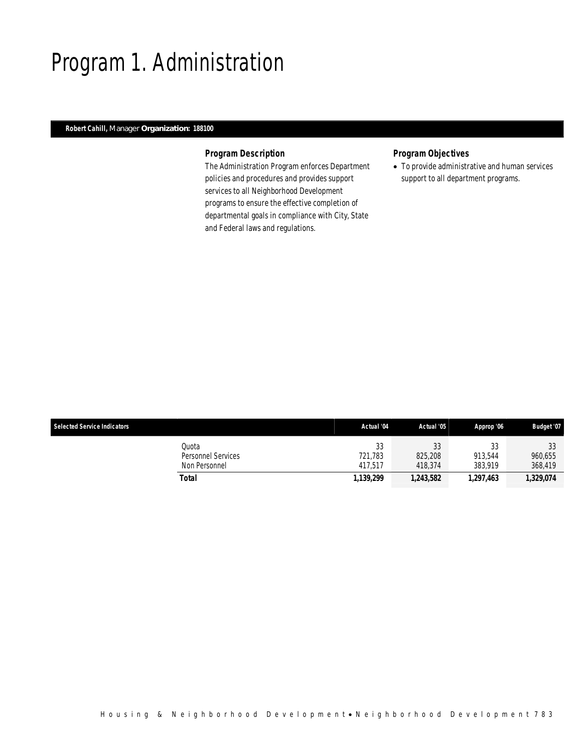## Program 1. Administration

## *Robert Cahill, Manager Organization: 188100*

### *Program Description*

The Administration Program enforces Department policies and procedures and provides support services to all Neighborhood Development programs to ensure the effective completion of departmental goals in compliance with City, State and Federal laws and regulations.

## *Program Objectives*

• To provide administrative and human services support to all department programs.

| <b>Selected Service Indicators</b> |                    | Actual '04 | Actual '05 | Approp '06 | Budget '07 |
|------------------------------------|--------------------|------------|------------|------------|------------|
|                                    | Quota              | 33         | 33         | JJ         | 22<br>JJ.  |
|                                    | Personnel Services | 721.783    | 825,208    | 913.544    | 960.655    |
|                                    | Non Personnel      | 417.517    | 418,374    | 383.919    | 368.419    |
|                                    | Total              | 1,139,299  | 1,243,582  | 1,297,463  | 1,329,074  |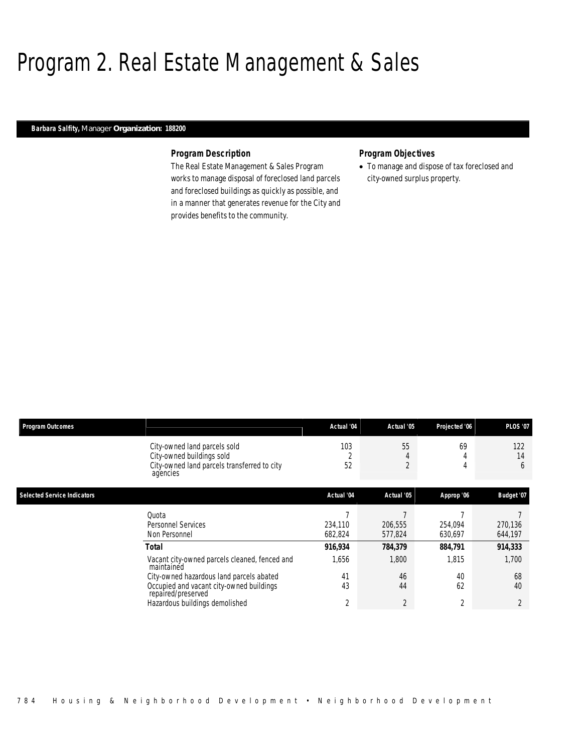## Program 2. Real Estate Management & Sales

### *Barbara Salfity, Manager Organization: 188200*

### *Program Description*

The Real Estate Management & Sales Program works to manage disposal of foreclosed land parcels and foreclosed buildings as quickly as possible, and in a manner that generates revenue for the City and provides benefits to the community.

## *Program Objectives*

• To manage and dispose of tax foreclosed and city-owned surplus property.

| <b>Program Outcomes</b>            |                                                                                                                      | Actual '04         | Actual '05          | Projected '06      | <b>PLOS '07</b>    |
|------------------------------------|----------------------------------------------------------------------------------------------------------------------|--------------------|---------------------|--------------------|--------------------|
|                                    | City-owned land parcels sold<br>City-owned buildings sold<br>City-owned land parcels transferred to city<br>agencies | 103<br>52          | 55<br>$\gamma$<br>∠ | 69<br>4<br>4       | 122<br>14<br>6     |
| <b>Selected Service Indicators</b> |                                                                                                                      | Actual '04         | Actual '05          | Approp '06         | Budget '07         |
|                                    | Quota<br>Personnel Services<br>Non Personnel                                                                         | 234,110<br>682,824 | 206,555<br>577,824  | 254,094<br>630,697 | 270,136<br>644,197 |
|                                    | <b>Total</b>                                                                                                         | 916,934            | 784,379             | 884,791            | 914,333            |
|                                    | Vacant city-owned parcels cleaned, fenced and<br>maintained<br>City-owned hazardous land parcels abated              | 1,656<br>41        | 1,800<br>46         | 1,815<br>40        | 1,700<br>68        |
|                                    | Occupied and vacant city-owned buildings<br>repaired/preserved                                                       | 43                 | 44                  | 62                 | 40                 |
|                                    | Hazardous buildings demolished                                                                                       | 2                  | $\overline{2}$      | $\overline{2}$     | $\overline{2}$     |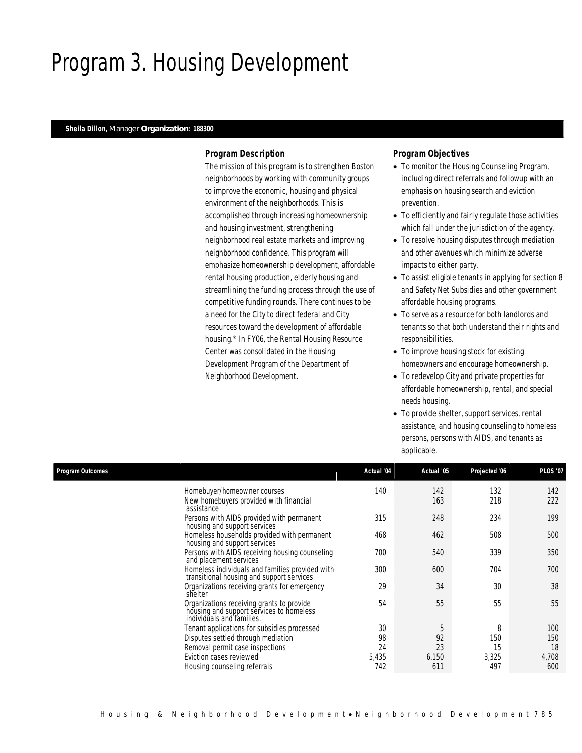## Program 3. Housing Development

## *Sheila Dillon, Manager Organization: 188300*

## *Program Description*

The mission of this program is to strengthen Boston neighborhoods by working with community groups to improve the economic, housing and physical environment of the neighborhoods. This is accomplished through increasing homeownership and housing investment, strengthening neighborhood real estate markets and improving neighborhood confidence. This program will emphasize homeownership development, affordable rental housing production, elderly housing and streamlining the funding process through the use of competitive funding rounds. There continues to be a need for the City to direct federal and City resources toward the development of affordable housing.\* In FY06, the Rental Housing Resource Center was consolidated in the Housing Development Program of the Department of Neighborhood Development.

## *Program Objectives*

- To monitor the Housing Counseling Program, including direct referrals and followup with an emphasis on housing search and eviction prevention.
- To efficiently and fairly regulate those activities which fall under the jurisdiction of the agency.
- To resolve housing disputes through mediation and other avenues which minimize adverse impacts to either party.
- To assist eligible tenants in applying for section 8 and Safety Net Subsidies and other government affordable housing programs.
- To serve as a resource for both landlords and tenants so that both understand their rights and responsibilities.
- To improve housing stock for existing homeowners and encourage homeownership.
- To redevelop City and private properties for affordable homeownership, rental, and special needs housing.
- To provide shelter, support services, rental assistance, and housing counseling to homeless persons, persons with AIDS, and tenants as applicable.

| Program Outcomes |                                                                                                                    | Actual '04 | Actual '05 | Projected '06 | <b>PLOS '07</b> |
|------------------|--------------------------------------------------------------------------------------------------------------------|------------|------------|---------------|-----------------|
|                  | Homebuyer/homeowner courses<br>New homebuyers provided with financial<br>assistance                                | 140        | 142<br>163 | 132<br>218    | 142<br>222      |
|                  | Persons with AIDS provided with permanent<br>housing and support services                                          | 315        | 248        | 234           | 199             |
|                  | Homeless households provided with permanent<br>housing and support services                                        | 468        | 462        | 508           | 500             |
|                  | Persons with AIDS receiving housing counseling<br>and placement services                                           | 700        | 540        | 339           | 350             |
|                  | Homeless individuals and families provided with<br>transitional housing and support services                       | 300        | 600        | 704           | 700             |
|                  | Organizations receiving grants for emergency<br>shelter                                                            | 29         | 34         | 30            | 38              |
|                  | Organizations receiving grants to provide<br>housing and support services to homeless<br>individuals and families. | 54         | 55         | 55            | 55              |
|                  | Tenant applications for subsidies processed                                                                        | 30         | 5          | 8             | 100             |
|                  | Disputes settled through mediation                                                                                 | 98         | 92         | 150           | 150             |
|                  | Removal permit case inspections                                                                                    | 24         | 23         | 15            | 18              |
|                  | Eviction cases reviewed                                                                                            | 5,435      | 6,150      | 3,325         | 4,708           |
|                  | Housing counseling referrals                                                                                       | 742        | 611        | 497           | 600             |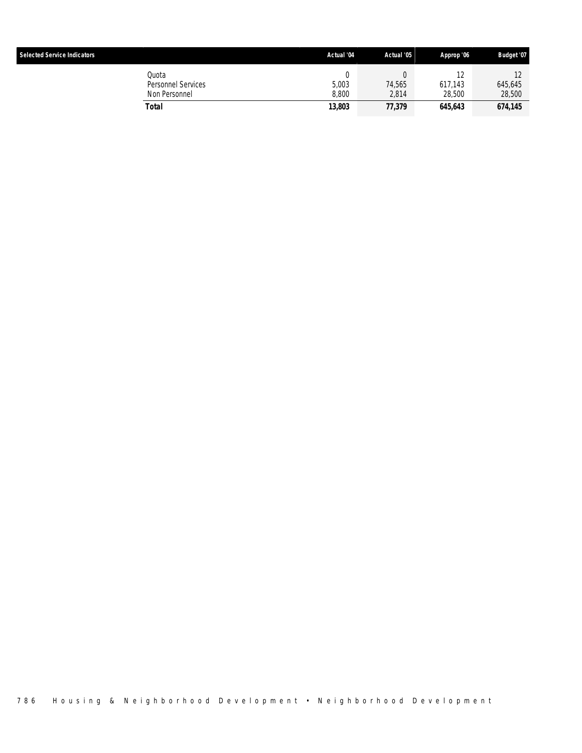| <b>Selected Service Indicators</b> |                                              | Actual '04     | Actual '05      | Approp '06              | Budget '07        |
|------------------------------------|----------------------------------------------|----------------|-----------------|-------------------------|-------------------|
|                                    | Quota<br>Personnel Services<br>Non Personnel | 5,003<br>8.800 | 74.565<br>2.814 | ١Z<br>617.143<br>28,500 | 645.645<br>28,500 |
|                                    | Total                                        | 13,803         | 77,379          | 645,643                 | 674,145           |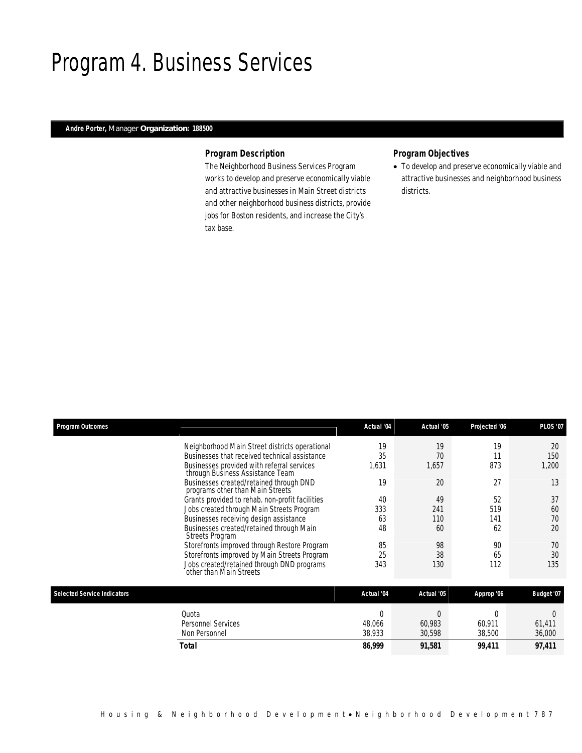## Program 4. Business Services

## *Andre Porter, Manager Organization: 188500*

## *Program Description*

The Neighborhood Business Services Program works to develop and preserve economically viable and attractive businesses in Main Street districts and other neighborhood business districts, provide jobs for Boston residents, and increase the City's tax base.

## *Program Objectives*

• To develop and preserve economically viable and attractive businesses and neighborhood business districts.

| <b>Program Outcomes</b>            |                                                                                | Actual '04 | Actual '05 | Projected '06 | <b>PLOS '07</b>   |
|------------------------------------|--------------------------------------------------------------------------------|------------|------------|---------------|-------------------|
|                                    | Neighborhood Main Street districts operational                                 | 19         | 19         | 19            | 20                |
|                                    | Businesses that received technical assistance                                  | 35         | 70         | 11            | 150               |
|                                    | Businesses provided with referral services<br>through Business Assistance Team | 1,631      | 1,657      | 873           | 1,200             |
|                                    | Businesses created/retained through DND<br>programs other than Main Streets    | 19         | 20         | 27            | 13                |
|                                    | Grants provided to rehab. non-profit facilities                                | 40         | 49         | 52            | 37                |
|                                    | Jobs created through Main Streets Program                                      | 333        | 241        | 519           | 60                |
|                                    | Businesses receiving design assistance                                         | 63         | 110        | 141           | 70                |
|                                    | Businesses created/retained through Main<br><b>Streets Program</b>             | 48         | 60         | 62            | 20                |
|                                    | Storefronts improved through Restore Program                                   | 85         | 98         | 90            | 70                |
|                                    | Storefronts improved by Main Streets Program                                   | 25         | 38         | 65            | 30                |
|                                    | Jobs created/retained through DND programs<br>other than Main Streets          | 343        | 130        | 112           | 135               |
| <b>Selected Service Indicators</b> |                                                                                | Actual '04 | Actual '05 | Approp '06    | <b>Budget '07</b> |
|                                    |                                                                                |            |            |               |                   |
|                                    | Quota                                                                          | $\Omega$   | $\Omega$   | $\Omega$      | $\Omega$          |
|                                    | <b>Personnel Services</b>                                                      | 48,066     | 60,983     | 60,911        | 61,411            |
|                                    | Non Personnel                                                                  | 38,933     | 30,598     | 38,500        | 36,000            |
|                                    | <b>Total</b>                                                                   | 86,999     | 91,581     | 99,411        | 97,411            |
|                                    |                                                                                |            |            |               |                   |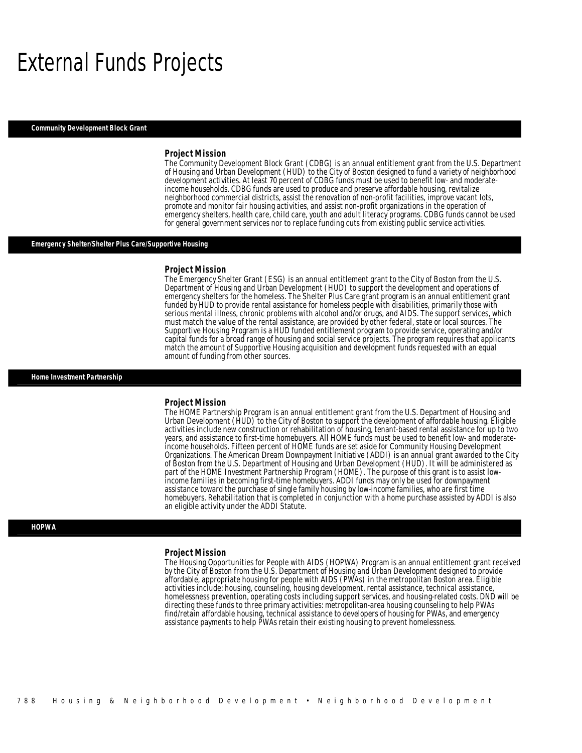## External Funds Projects

#### *Community Development Block Grant*

#### *Project Mission*

The Community Development Block Grant (CDBG) is an annual entitlement grant from the U.S. Department of Housing and Urban Development (HUD) to the City of Boston designed to fund a variety of neighborhood development activities. At least 70 percent of CDBG funds must be used to benefit low- and moderateincome households. CDBG funds are used to produce and preserve affordable housing, revitalize neighborhood commercial districts, assist the renovation of non-profit facilities, improve vacant lots, promote and monitor fair housing activities, and assist non-profit organizations in the operation of emergency shelters, health care, child care, youth and adult literacy programs. CDBG funds cannot be used for general government services nor to replace funding cuts from existing public service activities.

#### *Emergency Shelter/Shelter Plus Care/Supportive Housing*

#### *Project Mission*

The Emergency Shelter Grant (ESG) is an annual entitlement grant to the City of Boston from the U.S. Department of Housing and Urban Development (HUD) to support the development and operations of emergency shelters for the homeless. The Shelter Plus Care grant program is an annual entitlement grant funded by HUD to provide rental assistance for homeless people with disabilities, primarily those with serious mental illness, chronic problems with alcohol and/or drugs, and AIDS. The support services, which must match the value of the rental assistance, are provided by other federal, state or local sources. The Supportive Housing Program is a HUD funded entitlement program to provide service, operating and/or capital funds for a broad range of housing and social service projects. The program requires that applicants match the amount of Supportive Housing acquisition and development funds requested with an equal amount of funding from other sources.

#### *Home Investment Partnership*

#### *Project Mission*

The HOME Partnership Program is an annual entitlement grant from the U.S. Department of Housing and Urban Development (HUD) to the City of Boston to support the development of affordable housing. Eligible activities include new construction or rehabilitation of housing, tenant-based rental assistance for up to two years, and assistance to first-time homebuyers. All HOME funds must be used to benefit low- and moderateincome households. Fifteen percent of HOME funds are set aside for Community Housing Development Organizations. The American Dream Downpayment Initiative (ADDI) is an annual grant awarded to the City of Boston from the U.S. Department of Housing and Urban Development (HUD). It will be administered as part of the HOME Investment Partnership Program (HOME). The purpose of this grant is to assist lowincome families in becoming first-time homebuyers. ADDI funds may only be used for downpayment assistance toward the purchase of single family housing by low-income families, who are first time homebuyers. Rehabilitation that is completed in conjunction with a home purchase assisted by ADDI is also an eligible activity under the ADDI Statute.

#### *HOPWA*

#### *Project Mission*

The Housing Opportunities for People with AIDS (HOPWA) Program is an annual entitlement grant received by the City of Boston from the U.S. Department of Housing and Urban Development designed to provide affordable, appropriate housing for people with AIDS (PWAs) in the metropolitan Boston area. Eligible activities include: housing, counseling, housing development, rental assistance, technical assistance, homelessness prevention, operating costs including support services, and housing-related costs. DND will be directing these funds to three primary activities: metropolitan-area housing counseling to help PWAs find/retain affordable housing, technical assistance to developers of housing for PWAs, and emergency assistance payments to help PWAs retain their existing housing to prevent homelessness.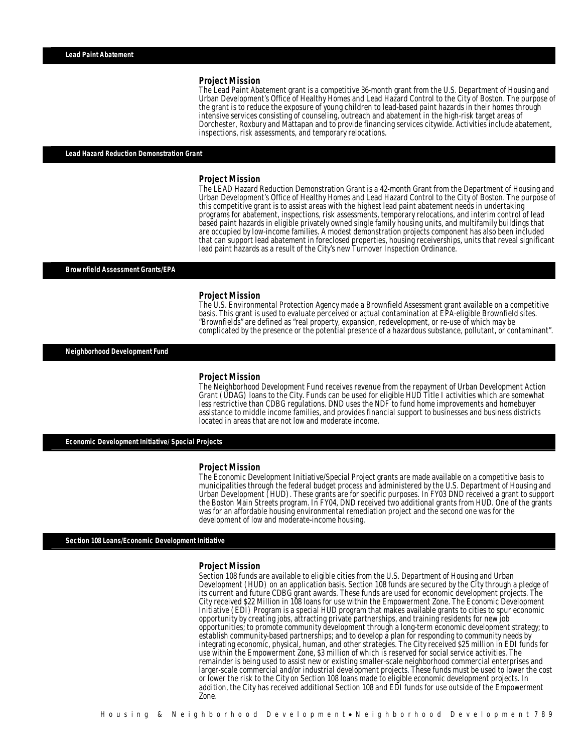#### *Project Mission*

The Lead Paint Abatement grant is a competitive 36-month grant from the U.S. Department of Housing and Urban Development's Office of Healthy Homes and Lead Hazard Control to the City of Boston. The purpose of the grant is to reduce the exposure of young children to lead-based paint hazards in their homes through intensive services consisting of counseling, outreach and abatement in the high-risk target areas of Dorchester, Roxbury and Mattapan and to provide financing services citywide. Activities include abatement, inspections, risk assessments, and temporary relocations.

#### *Lead Hazard Reduction Demonstration Grant*

#### *Project Mission*

The LEAD Hazard Reduction Demonstration Grant is a 42-month Grant from the Department of Housing and Urban Development's Office of Healthy Homes and Lead Hazard Control to the City of Boston. The purpose of this competitive grant is to assist areas with the highest lead paint abatement needs in undertaking programs for abatement, inspections, risk assessments, temporary relocations, and interim control of lead based paint hazards in eligible privately owned single family housing units, and multifamily buildings that are occupied by low-income families. A modest demonstration projects component has also been included that can support lead abatement in foreclosed properties, housing receiverships, units that reveal significant lead paint hazards as a result of the City's new Turnover Inspection Ordinance.

#### *Brownfield Assessment Grants/EPA*

#### *Project Mission*

The U.S. Environmental Protection Agency made a Brownfield Assessment grant available on a competitive basis. This grant is used to evaluate perceived or actual contamination at EPA-eligible Brownfield sites. "Brownfields" are defined as "real property, expansion, redevelopment, or re-use of which may be complicated by the presence or the potential presence of a hazardous substance, pollutant, or contaminant".

*Neighborhood Development Fund* 

#### *Project Mission*

The Neighborhood Development Fund receives revenue from the repayment of Urban Development Action Grant (UDAG) loans to the City. Funds can be used for eligible HUD Title I activities which are somewhat less restrictive than CDBG regulations. DND uses the NDF to fund home improvements and homebuyer assistance to middle income families, and provides financial support to businesses and business districts located in areas that are not low and moderate income.

*Economic Development Initiative/ Special Projects* 

#### *Project Mission*

The Economic Development Initiative/Special Project grants are made available on a competitive basis to municipalities through the federal budget process and administered by the U.S. Department of Housing and Urban Development (HUD). These grants are for specific purposes. In FY03 DND received a grant to support the Boston Main Streets program. In FY04, DND received two additional grants from HUD. One of the grants was for an affordable housing environmental remediation project and the second one was for the development of low and moderate-income housing.

*Section 108 Loans/Economic Development Initiative* 

#### *Project Mission*

Section 108 funds are available to eligible cities from the U.S. Department of Housing and Urban Development (HUD) on an application basis. Section 108 funds are secured by the City through a pledge of its current and future CDBG grant awards. These funds are used for economic development projects. The City received \$22 Million in 108 loans for use within the Empowerment Zone. The Economic Development Initiative (EDI) Program is a special HUD program that makes available grants to cities to spur economic opportunity by creating jobs, attracting private partnerships, and training residents for new job opportunities; to promote community development through a long-term economic development strategy; to establish community-based partnerships; and to develop a plan for responding to community needs by integrating economic, physical, human, and other strategies. The City received \$25 million in EDI funds for use within the Empowerment Zone, \$3 million of which is reserved for social service activities. The remainder is being used to assist new or existing smaller-scale neighborhood commercial enterprises and larger-scale commercial and/or industrial development projects. These funds must be used to lower the cost or lower the risk to the City on Section 108 loans made to eligible economic development projects. In addition, the City has received additional Section 108 and EDI funds for use outside of the Empowerment Zone.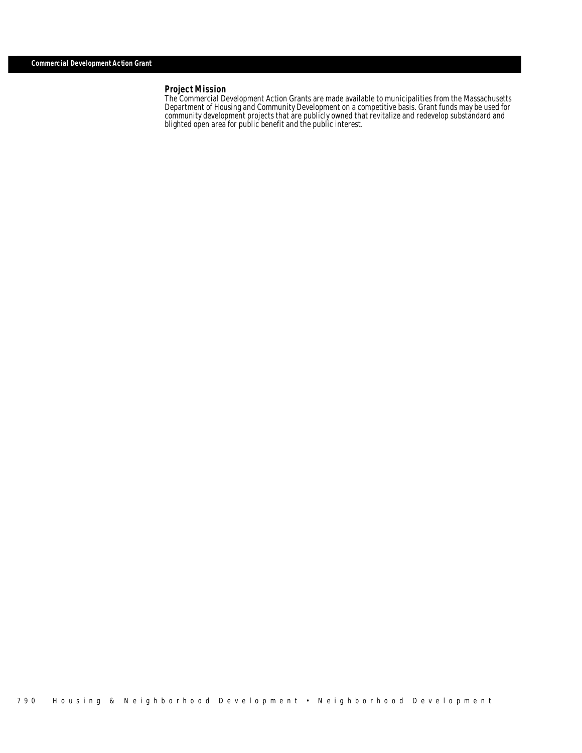## *Project Mission*

The Commercial Development Action Grants are made available to municipalities from the Massachusetts Department of Housing and Community Development on a competitive basis. Grant funds may be used for community development projects that are publicly owned that revitalize and redevelop substandard and blighted open area for public benefit and the public interest.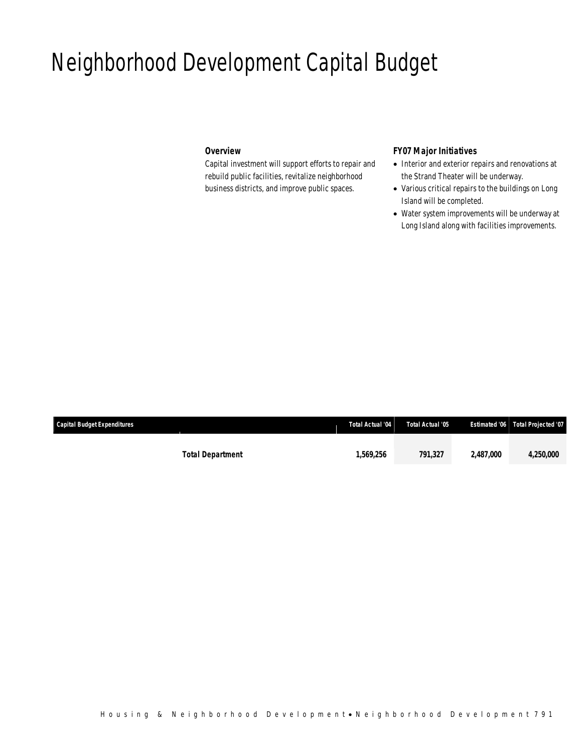## Neighborhood Development Capital Budget

## *Overview*

Capital investment will support efforts to repair and rebuild public facilities, revitalize neighborhood business districts, and improve public spaces.

## *FY07 Major Initiatives*

- Interior and exterior repairs and renovations at the Strand Theater will be underway.
- Various critical repairs to the buildings on Long Island will be completed.
- Water system improvements will be underway at Long Island along with facilities improvements.

| <b>Capital Budget Expenditures</b> |                         | Total Actual '04 | Total Actual '05 |           | Estimated '06 Total Projected '07 |
|------------------------------------|-------------------------|------------------|------------------|-----------|-----------------------------------|
|                                    |                         |                  |                  |           |                                   |
|                                    | <b>Total Department</b> | 1,569,256        | 791.327          | 2.487.000 | <i>4,250,000</i>                  |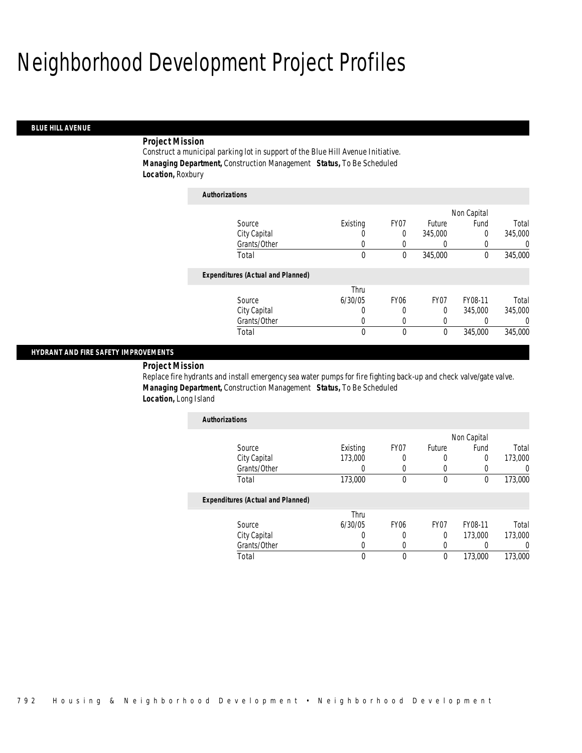*Authorizations*

#### *BLUE HILL AVENUE*

### *Project Mission*

Construct a municipal parking lot in support of the Blue Hill Avenue Initiative. *Managing Department,* Construction Management *Status,* To Be Scheduled *Location,* Roxbury

| Authorizations                           |             |                  |          |             |          |
|------------------------------------------|-------------|------------------|----------|-------------|----------|
|                                          |             |                  |          | Non Capital |          |
| Source                                   | Existing    | FY07             | Future   | Fund        | Total    |
| City Capital                             | O           | $\Omega$         | 345,000  | $\theta$    | 345,000  |
| Grants/Other                             | 0           | 0                | 0        | 0           | 0        |
| Total                                    | $\mathbf 0$ | 0                | 345,000  | $\theta$    | 345,000  |
| <b>Expenditures (Actual and Planned)</b> |             |                  |          |             |          |
|                                          | Thru        |                  |          |             |          |
| Source                                   | 6/30/05     | FY <sub>06</sub> | FY07     | FY08-11     | Total    |
| City Capital                             | 0           | 0                | $\Omega$ | 345,000     | 345,000  |
| Grants/Other                             | 0           | 0                | 0        |             | $\Omega$ |
| Total                                    | 0           | 0                | 0        | 345,000     | 345,000  |

### *HYDRANT AND FIRE SAFETY IMPROVEMENTS*

## *Project Mission*

Replace fire hydrants and install emergency sea water pumps for fire fighting back-up and check valve/gate valve. *Managing Department,* Construction Management *Status,* To Be Scheduled *Location,* Long Island

| <b>Authorizations</b>                    |          |      |        |             |         |
|------------------------------------------|----------|------|--------|-------------|---------|
|                                          |          |      |        | Non Capital |         |
| Source                                   | Existing | FY07 | Future | Fund        | Total   |
| City Capital                             | 173,000  |      |        | 0           | 173,000 |
| Grants/Other                             |          |      |        |             |         |
| Total                                    | 173,000  |      |        | 0           | 173,000 |
| <b>Expenditures (Actual and Planned)</b> |          |      |        |             |         |
|                                          | Thru.    |      |        |             |         |

|              | Thru    |      |                  |         |         |
|--------------|---------|------|------------------|---------|---------|
| Source       | 6/30/05 | FY06 | FY <sub>07</sub> | FY08-11 | Total   |
| City Capital |         |      |                  | 173,000 | 173,000 |
| Grants/Other |         |      |                  |         |         |
| Total        |         |      |                  | 173,000 | 173,000 |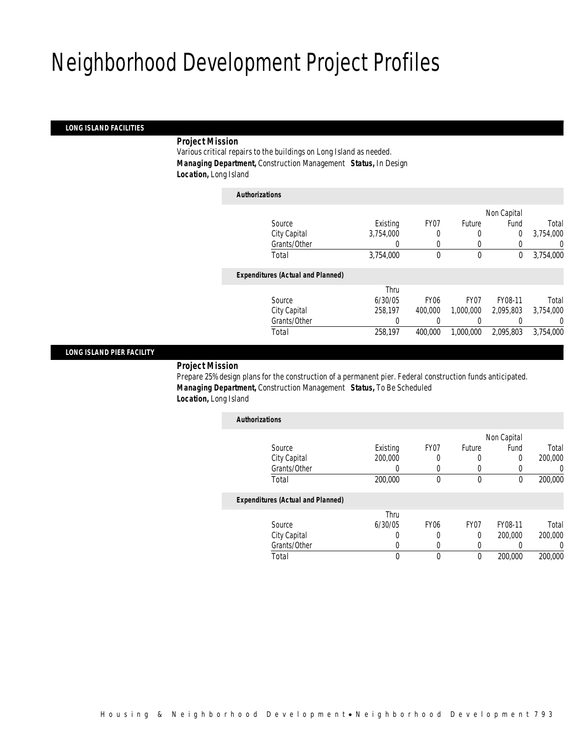*Authorizations*

### *LONG ISLAND FACILITIES*

### *Project Mission*

Various critical repairs to the buildings on Long Island as needed. *Managing Department,* Construction Management *Status,* In Design *Location,* Long Island

| Authorizations                           |           |                  |                  |             |           |
|------------------------------------------|-----------|------------------|------------------|-------------|-----------|
|                                          |           |                  |                  | Non Capital |           |
| Source                                   | Existing  | FY <sub>07</sub> | Future           | Fund        | Total     |
| City Capital                             | 3.754.000 | 0                | 0                | 0           | 3,754,000 |
| Grants/Other                             |           | 0                | 0                |             | $\left($  |
| Total                                    | 3,754,000 | 0                | $\mathbf 0$      | 0           | 3,754,000 |
| <b>Expenditures (Actual and Planned)</b> |           |                  |                  |             |           |
|                                          | Thru      |                  |                  |             |           |
| Source                                   | 6/30/05   | <b>FY06</b>      | FY <sub>07</sub> | FY08-11     | Total     |
| City Capital                             | 258.197   | 400,000          | 1,000,000        | 2.095.803   | 3.754.000 |
| Grants/Other                             | 0         |                  | 0                |             | $\Omega$  |
| Total                                    | 258,197   | 400,000          | 1,000,000        | 2.095.803   | 3.754.000 |
|                                          |           |                  |                  |             |           |

### *LONG ISLAND PIER FACILITY*

*Project Mission* 

Prepare 25% design plans for the construction of a permanent pier. Federal construction funds anticipated. *Managing Department,* Construction Management *Status,* To Be Scheduled *Location,* Long Island

| <b>Authorizations</b>                    |          |                  |                  |             |                  |
|------------------------------------------|----------|------------------|------------------|-------------|------------------|
|                                          |          |                  |                  | Non Capital |                  |
| Source                                   | Existing | FY07             | Future           | Fund        | Total            |
| City Capital                             | 200,000  |                  | 0                | 0           | 200,000          |
| Grants/Other                             |          |                  |                  | 0           | $\left( \right)$ |
| Total                                    | 200,000  | 0                | $\Omega$         | 0           | 200,000          |
| <b>Expenditures (Actual and Planned)</b> |          |                  |                  |             |                  |
|                                          | Thru     |                  |                  |             |                  |
| Source                                   | 6/30/05  | FY <sub>06</sub> | FY <sub>07</sub> | FY08-11     | Total            |
| City Capital                             | 0        | 0                | $\theta$         | 200,000     | 200,000          |
| Grants/Other                             |          | 0                |                  | 0           | 0                |
| Total                                    |          | 0                | 0                | 200,000     | 200,000          |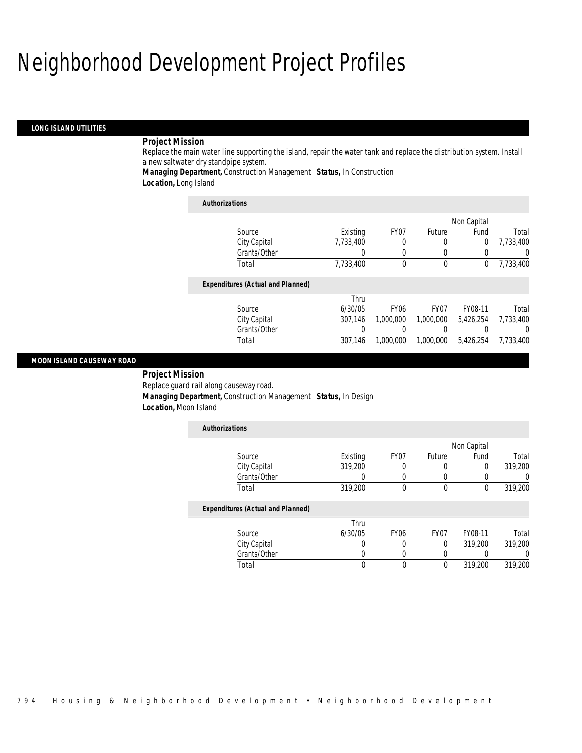#### *LONG ISLAND UTILITIES*

## *Project Mission*

Replace the main water line supporting the island, repair the water tank and replace the distribution system. Install a new saltwater dry standpipe system.

*Managing Department,* Construction Management *Status,* In Construction

*Location,* Long Island

| <b>Authorizations</b>                    |           |                  |           |             |           |
|------------------------------------------|-----------|------------------|-----------|-------------|-----------|
|                                          |           |                  |           | Non Capital |           |
| Source                                   | Existing  | FY <sub>07</sub> | Future    | Fund        | Total     |
| City Capital                             | 7.733.400 | 0                | 0         | $\mathbf 0$ | 7,733,400 |
| Grants/Other                             |           | 0                | 0         | 0           | 0         |
| Total                                    | 7.733.400 | $\theta$         | $\theta$  | 0           | 7,733,400 |
| <b>Expenditures (Actual and Planned)</b> |           |                  |           |             |           |
|                                          | Thru      |                  |           |             |           |
| Source                                   | 6/30/05   | <b>FY06</b>      | FY07      | FY08-11     | Total     |
| City Capital                             | 307.146   | 1.000.000        | 1,000,000 | 5,426,254   | 7,733,400 |
| Grants/Other                             |           |                  | 0         |             | 0         |
| Total                                    | 307.146   | 1.000.000        | 1.000.000 | 5,426,254   | 7.733.400 |

### *MOON ISLAND CAUSEWAY ROAD*

 *Project Mission* Replace guard rail along causeway road. *Managing Department,* Construction Management *Status,* In Design *Location,* Moon Island

| <b>Authorizations</b>                    |          |                  |                  |         |         |  |
|------------------------------------------|----------|------------------|------------------|---------|---------|--|
|                                          |          |                  | Non Capital      |         |         |  |
| Source                                   | Existing | FY <sub>07</sub> | Future           | Fund    | Total   |  |
| City Capital                             | 319,200  |                  | 0                | 0       | 319,200 |  |
| Grants/Other                             | U        |                  |                  | 0       | 0       |  |
| Total                                    | 319,200  | $\mathbf{0}$     | $\theta$         | 0       | 319,200 |  |
| <b>Expenditures (Actual and Planned)</b> |          |                  |                  |         |         |  |
|                                          | Thru     |                  |                  |         |         |  |
| Source                                   | 6/30/05  | FY <sub>06</sub> | FY <sub>07</sub> | FY08-11 | Total   |  |
| City Capital                             | U        |                  | $\Omega$         | 319,200 | 319,200 |  |
| Grants/Other                             | 0        | 0                | 0                |         | 0       |  |
| Total                                    | 0        | $\theta$         | $\theta$         | 319,200 | 319,200 |  |